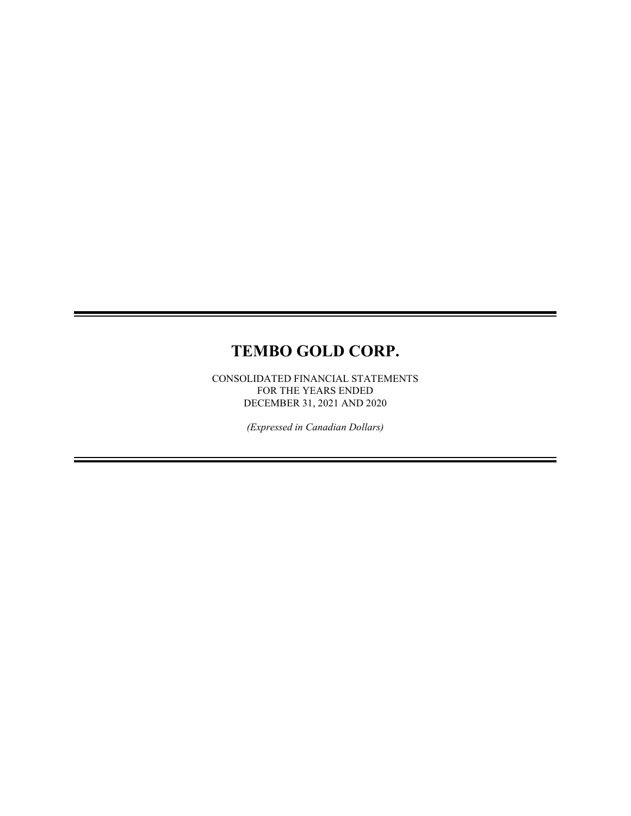# **TEMBO GOLD CORP.**

CONSOLIDATED FINANCIAL STATEMENTS FOR THE YEARS ENDED DECEMBER 31, 2021 AND 2020

*(Expressed in Canadian Dollars)*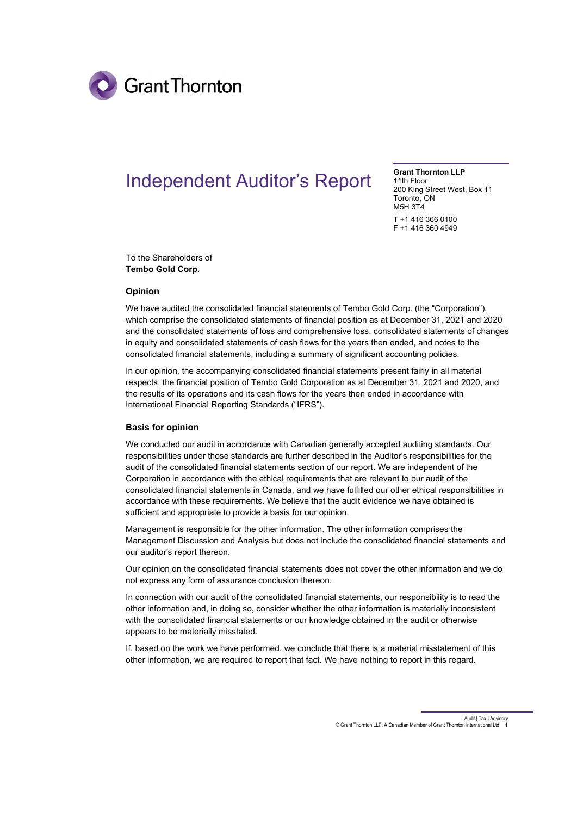

# Independent Auditor's Report

Grant Thornton LLP 11th Floor 200 King Street West, Box 11 Toronto, ON M5H 3T4 T +1 416 366 0100 F +1 416 360 4949

To the Shareholders of Tembo Gold Corp.

## Opinion

We have audited the consolidated financial statements of Tembo Gold Corp. (the "Corporation"), which comprise the consolidated statements of financial position as at December 31, 2021 and 2020 and the consolidated statements of loss and comprehensive loss, consolidated statements of changes in equity and consolidated statements of cash flows for the years then ended, and notes to the consolidated financial statements, including a summary of significant accounting policies.

In our opinion, the accompanying consolidated financial statements present fairly in all material respects, the financial position of Tembo Gold Corporation as at December 31, 2021 and 2020, and the results of its operations and its cash flows for the years then ended in accordance with International Financial Reporting Standards ("IFRS").

### Basis for opinion

We conducted our audit in accordance with Canadian generally accepted auditing standards. Our responsibilities under those standards are further described in the Auditor's responsibilities for the audit of the consolidated financial statements section of our report. We are independent of the Corporation in accordance with the ethical requirements that are relevant to our audit of the consolidated financial statements in Canada, and we have fulfilled our other ethical responsibilities in accordance with these requirements. We believe that the audit evidence we have obtained is sufficient and appropriate to provide a basis for our opinion.

Management is responsible for the other information. The other information comprises the Management Discussion and Analysis but does not include the consolidated financial statements and our auditor's report thereon.

Our opinion on the consolidated financial statements does not cover the other information and we do not express any form of assurance conclusion thereon.

In connection with our audit of the consolidated financial statements, our responsibility is to read the other information and, in doing so, consider whether the other information is materially inconsistent with the consolidated financial statements or our knowledge obtained in the audit or otherwise appears to be materially misstated.

If, based on the work we have performed, we conclude that there is a material misstatement of this other information, we are required to report that fact. We have nothing to report in this regard.

Audit | Tax | Advisory<br>1 - Audit | Tax | Advisory<br>1 - Grant Thornton International Ltd 1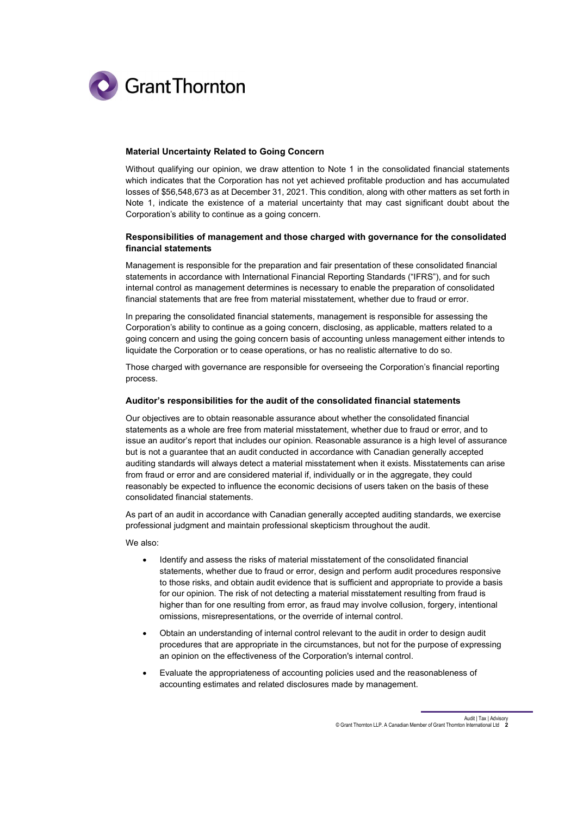

### Material Uncertainty Related to Going Concern

Without qualifying our opinion, we draw attention to Note 1 in the consolidated financial statements which indicates that the Corporation has not yet achieved profitable production and has accumulated losses of \$56,548,673 as at December 31, 2021. This condition, along with other matters as set forth in Note 1, indicate the existence of a material uncertainty that may cast significant doubt about the Corporation's ability to continue as a going concern.

# Responsibilities of management and those charged with governance for the consolidated financial statements

Management is responsible for the preparation and fair presentation of these consolidated financial statements in accordance with International Financial Reporting Standards ("IFRS"), and for such internal control as management determines is necessary to enable the preparation of consolidated financial statements that are free from material misstatement, whether due to fraud or error.

In preparing the consolidated financial statements, management is responsible for assessing the Corporation's ability to continue as a going concern, disclosing, as applicable, matters related to a going concern and using the going concern basis of accounting unless management either intends to liquidate the Corporation or to cease operations, or has no realistic alternative to do so.

Those charged with governance are responsible for overseeing the Corporation's financial reporting process.

#### Auditor's responsibilities for the audit of the consolidated financial statements

Our objectives are to obtain reasonable assurance about whether the consolidated financial statements as a whole are free from material misstatement, whether due to fraud or error, and to issue an auditor's report that includes our opinion. Reasonable assurance is a high level of assurance but is not a guarantee that an audit conducted in accordance with Canadian generally accepted auditing standards will always detect a material misstatement when it exists. Misstatements can arise from fraud or error and are considered material if, individually or in the aggregate, they could reasonably be expected to influence the economic decisions of users taken on the basis of these consolidated financial statements.

As part of an audit in accordance with Canadian generally accepted auditing standards, we exercise professional judgment and maintain professional skepticism throughout the audit.

We also:

- Identify and assess the risks of material misstatement of the consolidated financial statements, whether due to fraud or error, design and perform audit procedures responsive to those risks, and obtain audit evidence that is sufficient and appropriate to provide a basis for our opinion. The risk of not detecting a material misstatement resulting from fraud is higher than for one resulting from error, as fraud may involve collusion, forgery, intentional omissions, misrepresentations, or the override of internal control.
- Obtain an understanding of internal control relevant to the audit in order to design audit procedures that are appropriate in the circumstances, but not for the purpose of expressing an opinion on the effectiveness of the Corporation's internal control.
- Evaluate the appropriateness of accounting policies used and the reasonableness of accounting estimates and related disclosures made by management.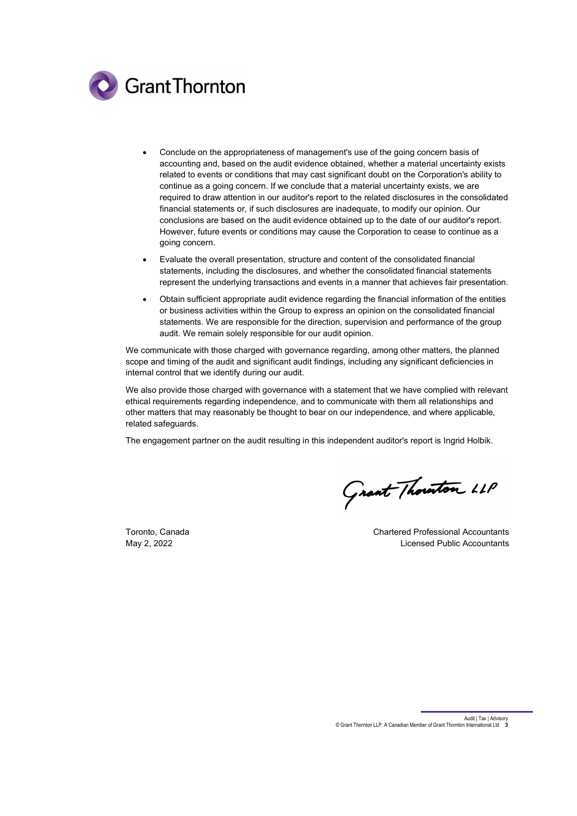

- Conclude on the appropriateness of management's use of the going concern basis of accounting and, based on the audit evidence obtained, whether a material uncertainty exists related to events or conditions that may cast significant doubt on the Corporation's ability to continue as a going concern. If we conclude that a material uncertainty exists, we are required to draw attention in our auditor's report to the related disclosures in the consolidated financial statements or, if such disclosures are inadequate, to modify our opinion. Our conclusions are based on the audit evidence obtained up to the date of our auditor's report. However, future events or conditions may cause the Corporation to cease to continue as a going concern.
- Evaluate the overall presentation, structure and content of the consolidated financial statements, including the disclosures, and whether the consolidated financial statements represent the underlying transactions and events in a manner that achieves fair presentation.
- Obtain sufficient appropriate audit evidence regarding the financial information of the entities or business activities within the Group to express an opinion on the consolidated financial statements. We are responsible for the direction, supervision and performance of the group audit. We remain solely responsible for our audit opinion.

We communicate with those charged with governance regarding, among other matters, the planned scope and timing of the audit and significant audit findings, including any significant deficiencies in internal control that we identify during our audit.

We also provide those charged with governance with a statement that we have complied with relevant ethical requirements regarding independence, and to communicate with them all relationships and other matters that may reasonably be thought to bear on our independence, and where applicable, related safeguards.

The engagement partner on the audit resulting in this independent auditor's report is Ingrid Holbik.

Toronto, Canada<br>Toronto, Canada Chartered Professional Accountants

May 2, 2022 Licensed Public Accountants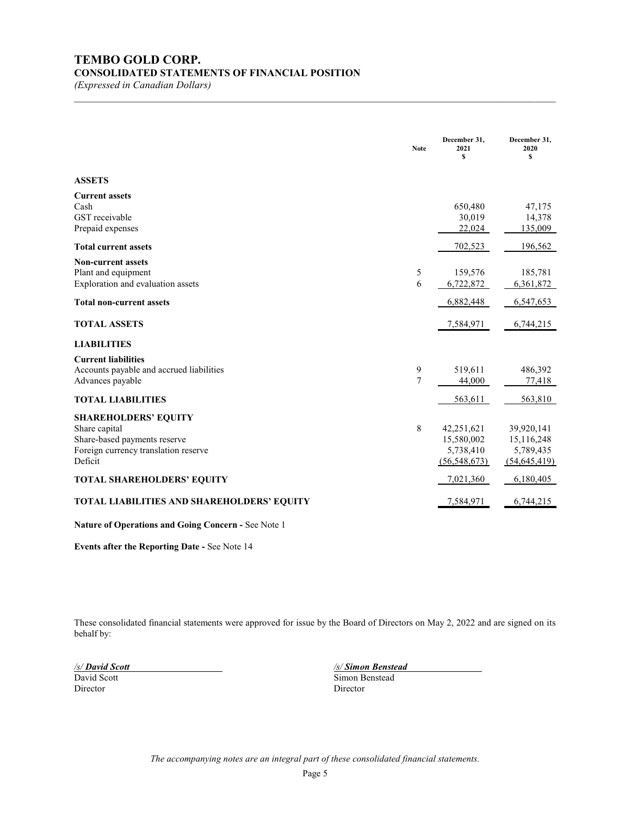# **TEMBO GOLD CORP.**

# **CONSOLIDATED STATEMENTS OF FINANCIAL POSITION**

*(Expressed in Canadian Dollars)*

|                                                                                                                                 | <b>Note</b> | December 31,<br>2021<br>S                               | December 31,<br>2020<br>\$                              |
|---------------------------------------------------------------------------------------------------------------------------------|-------------|---------------------------------------------------------|---------------------------------------------------------|
| <b>ASSETS</b>                                                                                                                   |             |                                                         |                                                         |
| <b>Current assets</b><br>Cash<br>GST receivable<br>Prepaid expenses                                                             |             | 650,480<br>30,019<br>22,024                             | 47,175<br>14,378<br>135,009                             |
| <b>Total current assets</b>                                                                                                     |             | 702,523                                                 | 196,562                                                 |
| <b>Non-current assets</b><br>Plant and equipment<br>Exploration and evaluation assets                                           | 5<br>6      | 159,576<br>6,722,872                                    | 185,781<br>6,361,872                                    |
| <b>Total non-current assets</b>                                                                                                 |             | 6,882,448                                               | 6,547,653                                               |
| <b>TOTAL ASSETS</b>                                                                                                             |             | 7,584,971                                               | 6,744,215                                               |
| <b>LIABILITIES</b>                                                                                                              |             |                                                         |                                                         |
| <b>Current liabilities</b><br>Accounts payable and accrued liabilities<br>Advances payable                                      | 9<br>7      | 519,611<br>44,000                                       | 486,392<br>77,418                                       |
| <b>TOTAL LIABILITIES</b>                                                                                                        |             | 563,611                                                 | 563,810                                                 |
| <b>SHAREHOLDERS' EQUITY</b><br>Share capital<br>Share-based payments reserve<br>Foreign currency translation reserve<br>Deficit | 8           | 42,251,621<br>15,580,002<br>5,738,410<br>(56, 548, 673) | 39,920,141<br>15,116,248<br>5,789,435<br>(54, 645, 419) |
| <b>TOTAL SHAREHOLDERS' EQUITY</b>                                                                                               |             | 7,021,360                                               | 6,180,405                                               |
| TOTAL LIABILITIES AND SHAREHOLDERS' EQUITY                                                                                      |             | 7,584,971                                               | 6,744,215                                               |

 $\mathcal{L}_\mathcal{L} = \{ \mathcal{L}_\mathcal{L} = \{ \mathcal{L}_\mathcal{L} = \{ \mathcal{L}_\mathcal{L} = \{ \mathcal{L}_\mathcal{L} = \{ \mathcal{L}_\mathcal{L} = \{ \mathcal{L}_\mathcal{L} = \{ \mathcal{L}_\mathcal{L} = \{ \mathcal{L}_\mathcal{L} = \{ \mathcal{L}_\mathcal{L} = \{ \mathcal{L}_\mathcal{L} = \{ \mathcal{L}_\mathcal{L} = \{ \mathcal{L}_\mathcal{L} = \{ \mathcal{L}_\mathcal{L} = \{ \mathcal{L}_\mathcal{$ 

**Nature of Operations and Going Concern -** See Note 1

**Events after the Reporting Date -** See Note 14

These consolidated financial statements were approved for issue by the Board of Directors on May 2, 2022 and are signed on its behalf by:

Director Director

*/s/ David Scott /s/ Simon Benstead* Simon Benstead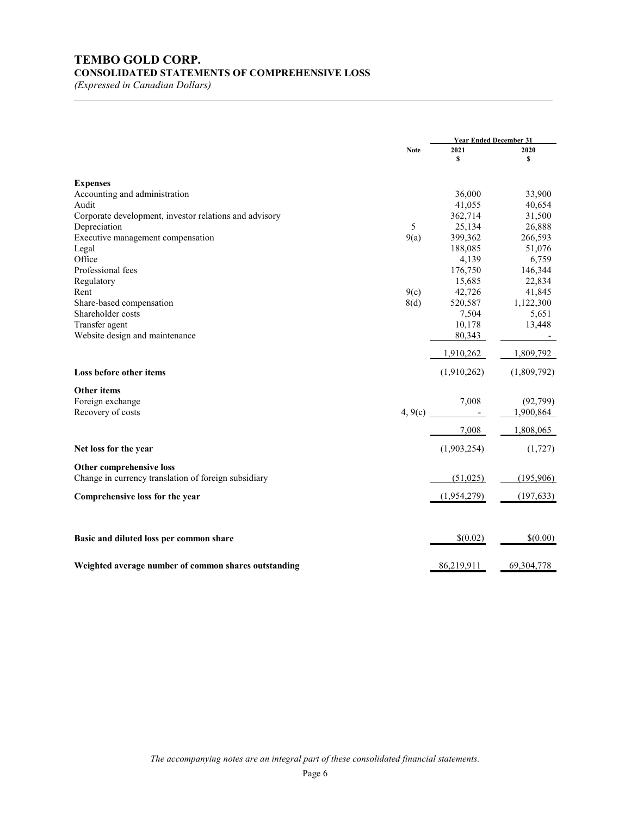# **TEMBO GOLD CORP. CONSOLIDATED STATEMENTS OF COMPREHENSIVE LOSS**

*(Expressed in Canadian Dollars)*

|                                                        | <b>Year Ended December 31</b> |             |
|--------------------------------------------------------|-------------------------------|-------------|
| <b>Note</b>                                            | 2021<br>S                     | 2020<br>S   |
|                                                        |                               |             |
| <b>Expenses</b>                                        |                               |             |
| Accounting and administration                          | 36,000                        | 33,900      |
| Audit                                                  | 41,055                        | 40,654      |
| Corporate development, investor relations and advisory | 362,714                       | 31,500      |
| 5<br>Depreciation                                      | 25,134                        | 26,888      |
| Executive management compensation<br>9(a)              | 399,362                       | 266,593     |
| Legal                                                  | 188,085                       | 51,076      |
| Office                                                 | 4,139                         | 6,759       |
| Professional fees                                      | 176,750                       | 146,344     |
| Regulatory                                             | 15,685                        | 22,834      |
| Rent<br>9(c)                                           | 42,726                        | 41,845      |
| 8(d)<br>Share-based compensation                       | 520,587                       | 1,122,300   |
| Shareholder costs                                      | 7,504                         | 5,651       |
| Transfer agent                                         | 10,178                        | 13,448      |
| Website design and maintenance                         | 80,343                        |             |
|                                                        | 1,910,262                     | 1,809,792   |
| Loss before other items                                | (1,910,262)                   | (1,809,792) |
| <b>Other items</b>                                     |                               |             |
| Foreign exchange                                       | 7,008                         | (92, 799)   |
| Recovery of costs<br>4, 9(c) $-$                       | $\sim 10^{11}$ m $^{-1}$      | 1,900,864   |
|                                                        | 7,008                         | 1,808,065   |
| Net loss for the year                                  | (1,903,254)                   | (1,727)     |
| Other comprehensive loss                               |                               |             |
| Change in currency translation of foreign subsidiary   | (51,025)                      | (195,906)   |
| Comprehensive loss for the year                        | (1,954,279)                   | (197, 633)  |
|                                                        |                               |             |
| Basic and diluted loss per common share                | \$(0.02)                      | \$(0.00)    |
| Weighted average number of common shares outstanding   | 86,219,911                    | 69,304,778  |

\_\_\_\_\_\_\_\_\_\_\_\_\_\_\_\_\_\_\_\_\_\_\_\_\_\_\_\_\_\_\_\_\_\_\_\_\_\_\_\_\_\_\_\_\_\_\_\_\_\_\_\_\_\_\_\_\_\_\_\_\_\_\_\_\_\_\_\_\_\_\_\_\_\_\_\_\_\_\_\_\_\_\_\_\_\_\_\_\_\_\_\_\_\_\_\_\_\_\_\_\_\_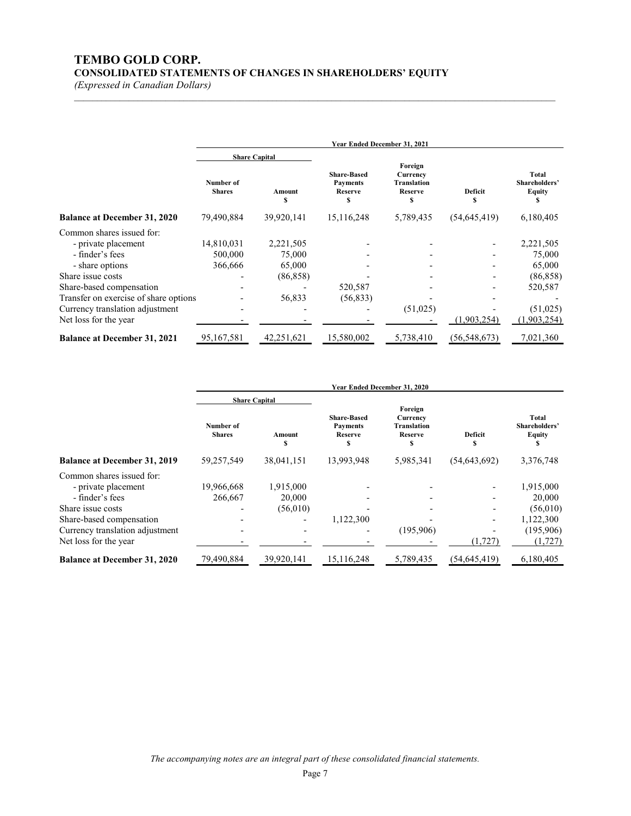# **TEMBO GOLD CORP. CONSOLIDATED STATEMENTS OF CHANGES IN SHAREHOLDERS' EQUITY**

*(Expressed in Canadian Dollars)*

|                                       | Year Ended December 31, 2021 |                      |                                                         |                                                           |                |                                         |
|---------------------------------------|------------------------------|----------------------|---------------------------------------------------------|-----------------------------------------------------------|----------------|-----------------------------------------|
|                                       |                              | <b>Share Capital</b> |                                                         |                                                           |                |                                         |
|                                       | Number of<br><b>Shares</b>   | Amount<br>S          | <b>Share-Based</b><br><b>Payments</b><br><b>Reserve</b> | Foreign<br>Currency<br><b>Translation</b><br>Reserve<br>S | Deficit        | Total<br>Shareholders'<br><b>Equity</b> |
| <b>Balance at December 31, 2020</b>   | 79,490,884                   | 39,920,141           | 15, 116, 248                                            | 5,789,435                                                 | (54, 645, 419) | 6,180,405                               |
| Common shares issued for:             |                              |                      |                                                         |                                                           |                |                                         |
| - private placement                   | 14,810,031                   | 2,221,505            |                                                         |                                                           |                | 2,221,505                               |
| - finder's fees                       | 500,000                      | 75,000               |                                                         |                                                           |                | 75,000                                  |
| - share options                       | 366,666                      | 65,000               |                                                         |                                                           |                | 65,000                                  |
| Share issue costs                     |                              | (86, 858)            |                                                         |                                                           | ٠              | (86, 858)                               |
| Share-based compensation              |                              |                      | 520,587                                                 |                                                           |                | 520,587                                 |
| Transfer on exercise of share options |                              | 56,833               | (56, 833)                                               |                                                           |                |                                         |
| Currency translation adjustment       |                              |                      |                                                         | (51, 025)                                                 |                | (51,025)                                |
| Net loss for the year                 |                              |                      |                                                         |                                                           | (1,903,254)    | (1,903,254)                             |
| <b>Balance at December 31, 2021</b>   | 95,167,581                   | 42,251,621           | 15,580,002                                              | 5,738,410                                                 | (56, 548, 673) | 7,021,360                               |

\_\_\_\_\_\_\_\_\_\_\_\_\_\_\_\_\_\_\_\_\_\_\_\_\_\_\_\_\_\_\_\_\_\_\_\_\_\_\_\_\_\_\_\_\_\_\_\_\_\_\_\_\_\_\_\_\_\_\_\_\_\_\_\_\_\_\_\_\_\_\_\_\_\_\_\_\_\_\_\_\_\_\_\_\_\_\_\_\_\_\_\_\_\_\_\_\_\_\_\_\_\_\_\_\_

|                                     | Year Ended December 31, 2020 |                      |                                                        |                                                                  |                     |                                         |
|-------------------------------------|------------------------------|----------------------|--------------------------------------------------------|------------------------------------------------------------------|---------------------|-----------------------------------------|
|                                     |                              | <b>Share Capital</b> |                                                        |                                                                  |                     |                                         |
|                                     | Number of<br><b>Shares</b>   | Amount<br>S          | <b>Share-Based</b><br><b>Payments</b><br>Reserve<br>\$ | Foreign<br>Currency<br><b>Translation</b><br><b>Reserve</b><br>S | <b>Deficit</b><br>S | Total<br>Shareholders'<br><b>Equity</b> |
| <b>Balance at December 31, 2019</b> | 59,257,549                   | 38.041.151           | 13,993,948                                             | 5,985,341                                                        | (54, 643, 692)      | 3,376,748                               |
| Common shares issued for:           |                              |                      |                                                        |                                                                  |                     |                                         |
| - private placement                 | 19,966,668                   | 1,915,000            |                                                        |                                                                  |                     | 1,915,000                               |
| - finder's fees                     | 266,667                      | 20,000               |                                                        |                                                                  |                     | 20,000                                  |
| Share issue costs                   |                              | (56,010)             |                                                        |                                                                  |                     | (56,010)                                |
| Share-based compensation            |                              |                      | 1,122,300                                              |                                                                  |                     | 1,122,300                               |
| Currency translation adjustment     |                              |                      |                                                        | (195,906)                                                        |                     | (195,906)                               |
| Net loss for the year               |                              |                      |                                                        |                                                                  | (1, 727)            | (1, 727)                                |
| <b>Balance at December 31, 2020</b> | 79,490,884                   | 39,920,141           | 15, 116, 248                                           | 5,789,435                                                        | (54, 645, 419)      | 6,180,405                               |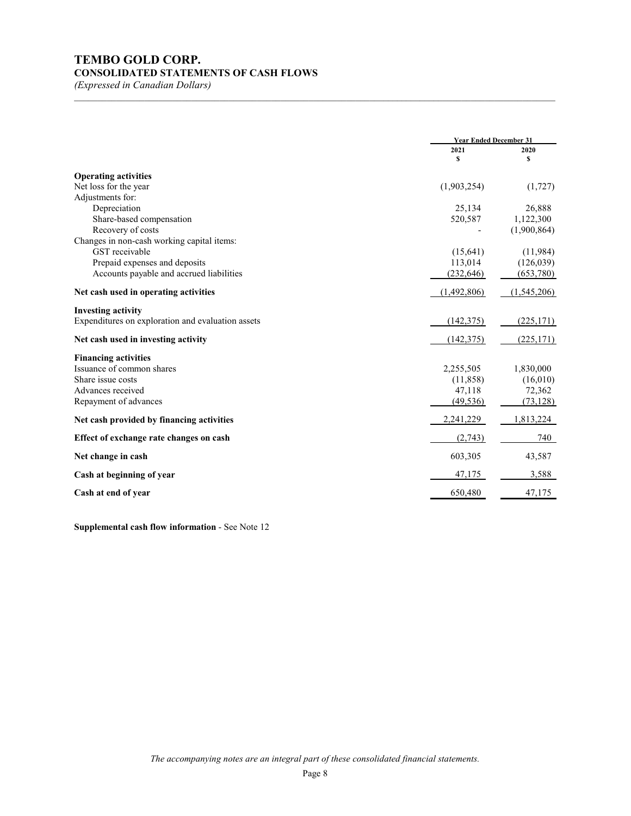# **TEMBO GOLD CORP.**

# **CONSOLIDATED STATEMENTS OF CASH FLOWS**

*(Expressed in Canadian Dollars)*

|                                                   | <b>Year Ended December 31</b> |             |
|---------------------------------------------------|-------------------------------|-------------|
|                                                   | 2021<br>\$                    | 2020<br>S   |
| <b>Operating activities</b>                       |                               |             |
| Net loss for the year                             | (1,903,254)                   | (1, 727)    |
| Adjustments for:                                  |                               |             |
| Depreciation                                      | 25,134                        | 26,888      |
| Share-based compensation                          | 520,587                       | 1,122,300   |
| Recovery of costs                                 |                               | (1,900,864) |
| Changes in non-cash working capital items:        |                               |             |
| GST receivable                                    | (15, 641)                     | (11,984)    |
| Prepaid expenses and deposits                     | 113,014                       | (126, 039)  |
| Accounts payable and accrued liabilities          | (232, 646)                    | (653,780)   |
| Net cash used in operating activities             | (1,492,806)                   | (1,545,206) |
| <b>Investing activity</b>                         |                               |             |
| Expenditures on exploration and evaluation assets | (142, 375)                    | (225, 171)  |
| Net cash used in investing activity               | (142, 375)                    | (225, 171)  |
| <b>Financing activities</b>                       |                               |             |
| Issuance of common shares                         | 2,255,505                     | 1,830,000   |
| Share issue costs                                 | (11, 858)                     | (16,010)    |
| Advances received                                 | 47,118                        | 72,362      |
| Repayment of advances                             | (49, 536)                     | (73, 128)   |
| Net cash provided by financing activities         | 2,241,229                     | 1,813,224   |
| Effect of exchange rate changes on cash           | (2,743)                       | 740         |
| Net change in cash                                | 603,305                       | 43,587      |
| Cash at beginning of year                         | 47,175                        | 3,588       |
| Cash at end of year                               | 650,480                       | 47,175      |

\_\_\_\_\_\_\_\_\_\_\_\_\_\_\_\_\_\_\_\_\_\_\_\_\_\_\_\_\_\_\_\_\_\_\_\_\_\_\_\_\_\_\_\_\_\_\_\_\_\_\_\_\_\_\_\_\_\_\_\_\_\_\_\_\_\_\_\_\_\_\_\_\_\_\_\_\_\_\_\_\_\_\_\_\_\_\_\_\_\_\_\_\_\_\_\_\_\_\_\_\_\_\_

**Supplemental cash flow information** - See Note 12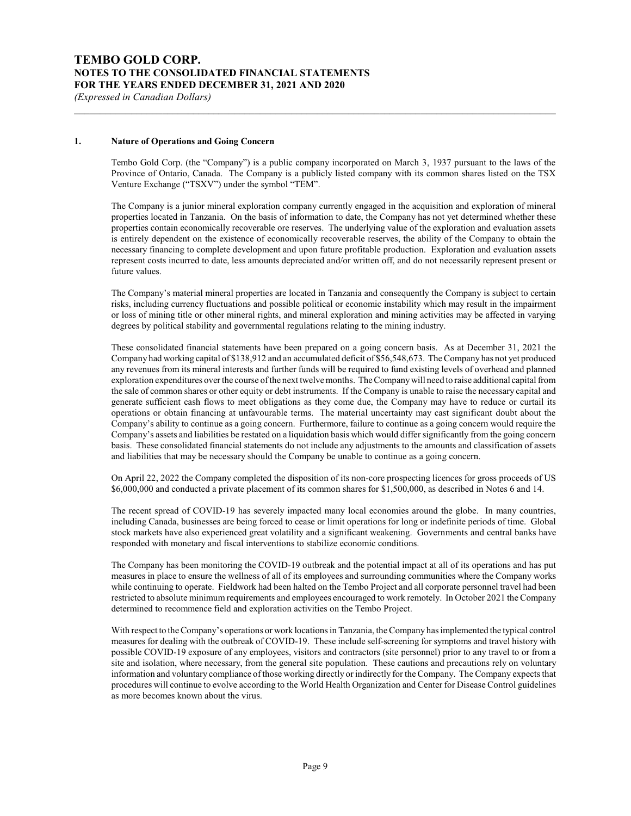#### **1. Nature of Operations and Going Concern**

Tembo Gold Corp. (the "Company") is a public company incorporated on March 3, 1937 pursuant to the laws of the Province of Ontario, Canada. The Company is a publicly listed company with its common shares listed on the TSX Venture Exchange ("TSXV") under the symbol "TEM".

**\_\_\_\_\_\_\_\_\_\_\_\_\_\_\_\_\_\_\_\_\_\_\_\_\_\_\_\_\_\_\_\_\_\_\_\_\_\_\_\_\_\_\_\_\_\_\_\_\_\_\_\_\_\_\_\_\_\_\_\_\_\_\_\_\_\_\_\_\_\_\_\_\_\_\_\_\_\_\_\_\_\_\_\_\_\_\_\_\_\_\_\_\_**

The Company is a junior mineral exploration company currently engaged in the acquisition and exploration of mineral properties located in Tanzania. On the basis of information to date, the Company has not yet determined whether these properties contain economically recoverable ore reserves. The underlying value of the exploration and evaluation assets is entirely dependent on the existence of economically recoverable reserves, the ability of the Company to obtain the necessary financing to complete development and upon future profitable production. Exploration and evaluation assets represent costs incurred to date, less amounts depreciated and/or written off, and do not necessarily represent present or future values.

The Company's material mineral properties are located in Tanzania and consequently the Company is subject to certain risks, including currency fluctuations and possible political or economic instability which may result in the impairment or loss of mining title or other mineral rights, and mineral exploration and mining activities may be affected in varying degrees by political stability and governmental regulations relating to the mining industry.

These consolidated financial statements have been prepared on a going concern basis. As at December 31, 2021 the Company had working capital of \$138,912 and an accumulated deficit of \$56,548,673. The Company has not yet produced any revenues from its mineral interests and further funds will be required to fund existing levels of overhead and planned exploration expenditures over the course ofthe next twelve months. The Companywill need to raise additional capital from the sale of common shares or other equity or debt instruments. If the Company is unable to raise the necessary capital and generate sufficient cash flows to meet obligations as they come due, the Company may have to reduce or curtail its operations or obtain financing at unfavourable terms. The material uncertainty may cast significant doubt about the Company's ability to continue as a going concern. Furthermore, failure to continue as a going concern would require the Company's assets and liabilities be restated on a liquidation basis which would differ significantly from the going concern basis. These consolidated financial statements do not include any adjustments to the amounts and classification of assets and liabilities that may be necessary should the Company be unable to continue as a going concern.

On April 22, 2022 the Company completed the disposition of its non-core prospecting licences for gross proceeds of US \$6,000,000 and conducted a private placement of its common shares for \$1,500,000, as described in Notes 6 and 14.

The recent spread of COVID-19 has severely impacted many local economies around the globe. In many countries, including Canada, businesses are being forced to cease or limit operations for long or indefinite periods of time. Global stock markets have also experienced great volatility and a significant weakening. Governments and central banks have responded with monetary and fiscal interventions to stabilize economic conditions.

The Company has been monitoring the COVID-19 outbreak and the potential impact at all of its operations and has put measures in place to ensure the wellness of all of its employees and surrounding communities where the Company works while continuing to operate. Fieldwork had been halted on the Tembo Project and all corporate personnel travel had been restricted to absolute minimum requirements and employees encouraged to work remotely. In October 2021 the Company determined to recommence field and exploration activities on the Tembo Project.

With respect to the Company's operations or work locations in Tanzania, the Company has implemented the typical control measures for dealing with the outbreak of COVID-19. These include self-screening for symptoms and travel history with possible COVID-19 exposure of any employees, visitors and contractors (site personnel) prior to any travel to or from a site and isolation, where necessary, from the general site population. These cautions and precautions rely on voluntary information and voluntary compliance ofthose working directly or indirectly for the Company. The Company expects that procedures will continue to evolve according to the World Health Organization and Center for Disease Control guidelines as more becomes known about the virus.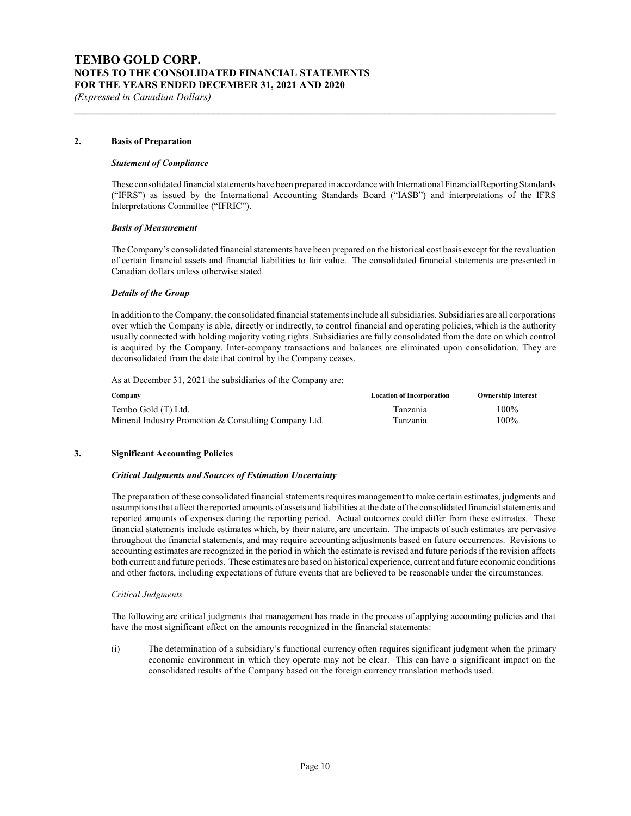#### **2. Basis of Preparation**

#### *Statement of Compliance*

These consolidated financial statements have been prepared in accordancewith International Financial Reporting Standards ("IFRS") as issued by the International Accounting Standards Board ("IASB") and interpretations of the IFRS Interpretations Committee ("IFRIC").

**\_\_\_\_\_\_\_\_\_\_\_\_\_\_\_\_\_\_\_\_\_\_\_\_\_\_\_\_\_\_\_\_\_\_\_\_\_\_\_\_\_\_\_\_\_\_\_\_\_\_\_\_\_\_\_\_\_\_\_\_\_\_\_\_\_\_\_\_\_\_\_\_\_\_\_\_\_\_\_\_\_\_\_\_\_\_\_\_\_\_\_\_\_**

#### *Basis of Measurement*

The Company's consolidated financial statements have been prepared on the historical cost basis except for the revaluation of certain financial assets and financial liabilities to fair value. The consolidated financial statements are presented in Canadian dollars unless otherwise stated.

#### *Details of the Group*

In addition to the Company, the consolidated financial statements include all subsidiaries. Subsidiaries are all corporations over which the Company is able, directly or indirectly, to control financial and operating policies, which is the authority usually connected with holding majority voting rights. Subsidiaries are fully consolidated from the date on which control is acquired by the Company. Inter-company transactions and balances are eliminated upon consolidation. They are deconsolidated from the date that control by the Company ceases.

As at December 31, 2021 the subsidiaries of the Company are:

| Company                                              | <b>Location of Incorporation</b> | <b>Ownership Interest</b> |
|------------------------------------------------------|----------------------------------|---------------------------|
| Tembo Gold (T) Ltd.                                  | Tanzania                         | 100%                      |
| Mineral Industry Promotion & Consulting Company Ltd. | Tanzania                         | 100%                      |

#### **3. Significant Accounting Policies**

#### *Critical Judgments and Sources of Estimation Uncertainty*

The preparation of these consolidated financial statements requires management to make certain estimates, judgments and assumptions that affect the reported amounts of assets and liabilities at the date ofthe consolidated financial statements and reported amounts of expenses during the reporting period. Actual outcomes could differ from these estimates. These financial statements include estimates which, by their nature, are uncertain. The impacts of such estimates are pervasive throughout the financial statements, and may require accounting adjustments based on future occurrences. Revisions to accounting estimates are recognized in the period in which the estimate is revised and future periods if the revision affects both current and future periods. These estimates are based on historical experience, current and future economic conditions and other factors, including expectations of future events that are believed to be reasonable under the circumstances.

#### *Critical Judgments*

The following are critical judgments that management has made in the process of applying accounting policies and that have the most significant effect on the amounts recognized in the financial statements:

(i) The determination of a subsidiary's functional currency often requires significant judgment when the primary economic environment in which they operate may not be clear. This can have a significant impact on the consolidated results of the Company based on the foreign currency translation methods used.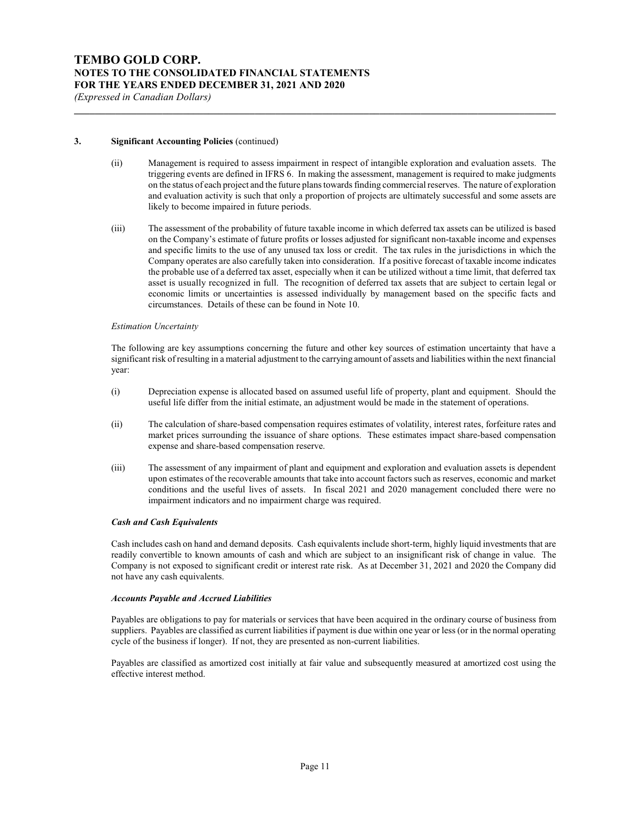#### **3. Significant Accounting Policies** (continued)

(ii) Management is required to assess impairment in respect of intangible exploration and evaluation assets. The triggering events are defined in IFRS 6. In making the assessment, management is required to make judgments on the status of each project and the future plans towards finding commercial reserves. The nature of exploration and evaluation activity is such that only a proportion of projects are ultimately successful and some assets are likely to become impaired in future periods.

**\_\_\_\_\_\_\_\_\_\_\_\_\_\_\_\_\_\_\_\_\_\_\_\_\_\_\_\_\_\_\_\_\_\_\_\_\_\_\_\_\_\_\_\_\_\_\_\_\_\_\_\_\_\_\_\_\_\_\_\_\_\_\_\_\_\_\_\_\_\_\_\_\_\_\_\_\_\_\_\_\_\_\_\_\_\_\_\_\_\_\_\_\_**

(iii) The assessment of the probability of future taxable income in which deferred tax assets can be utilized is based on the Company's estimate of future profits or losses adjusted for significant non-taxable income and expenses and specific limits to the use of any unused tax loss or credit. The tax rules in the jurisdictions in which the Company operates are also carefully taken into consideration. If a positive forecast of taxable income indicates the probable use of a deferred tax asset, especially when it can be utilized without a time limit, that deferred tax asset is usually recognized in full. The recognition of deferred tax assets that are subject to certain legal or economic limits or uncertainties is assessed individually by management based on the specific facts and circumstances. Details of these can be found in Note 10.

#### *Estimation Uncertainty*

The following are key assumptions concerning the future and other key sources of estimation uncertainty that have a significant risk of resulting in a material adjustment to the carrying amount of assets and liabilities within the next financial year:

- (i) Depreciation expense is allocated based on assumed useful life of property, plant and equipment. Should the useful life differ from the initial estimate, an adjustment would be made in the statement of operations.
- (ii) The calculation of share-based compensation requires estimates of volatility, interest rates, forfeiture rates and market prices surrounding the issuance of share options. These estimates impact share-based compensation expense and share-based compensation reserve.
- (iii) The assessment of any impairment of plant and equipment and exploration and evaluation assets is dependent upon estimates of the recoverable amounts that take into account factors such as reserves, economic and market conditions and the useful lives of assets. In fiscal 2021 and 2020 management concluded there were no impairment indicators and no impairment charge was required.

#### *Cash and Cash Equivalents*

Cash includes cash on hand and demand deposits. Cash equivalents include short-term, highly liquid investments that are readily convertible to known amounts of cash and which are subject to an insignificant risk of change in value. The Company is not exposed to significant credit or interest rate risk. As at December 31, 2021 and 2020 the Company did not have any cash equivalents.

#### *Accounts Payable and Accrued Liabilities*

Payables are obligations to pay for materials or services that have been acquired in the ordinary course of business from suppliers. Payables are classified as current liabilities if payment is due within one year or less (or in the normal operating cycle of the business if longer). If not, they are presented as non-current liabilities.

Payables are classified as amortized cost initially at fair value and subsequently measured at amortized cost using the effective interest method.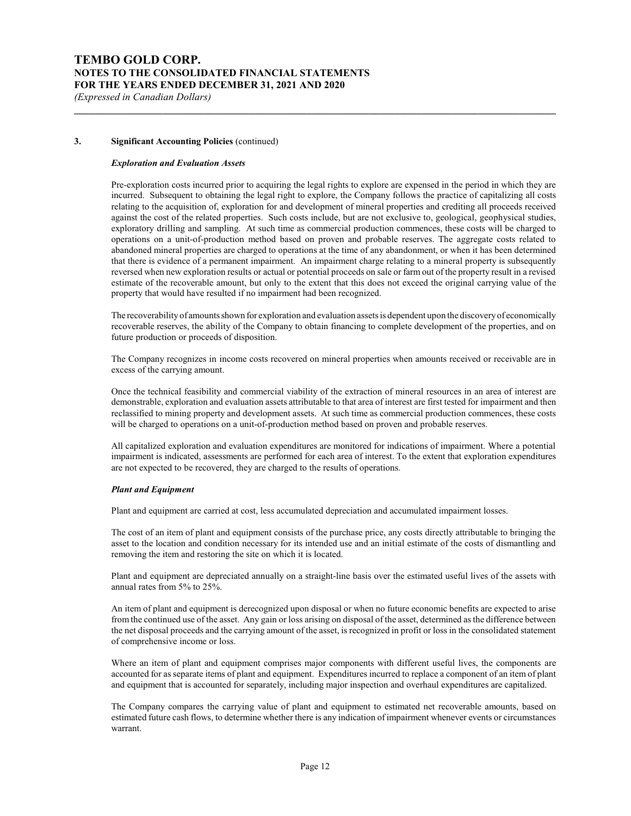#### **3. Significant Accounting Policies** (continued)

#### *Exploration and Evaluation Assets*

Pre-exploration costs incurred prior to acquiring the legal rights to explore are expensed in the period in which they are incurred. Subsequent to obtaining the legal right to explore, the Company follows the practice of capitalizing all costs relating to the acquisition of, exploration for and development of mineral properties and crediting all proceeds received against the cost of the related properties. Such costs include, but are not exclusive to, geological, geophysical studies, exploratory drilling and sampling. At such time as commercial production commences, these costs will be charged to operations on a unit-of-production method based on proven and probable reserves. The aggregate costs related to abandoned mineral properties are charged to operations at the time of any abandonment, or when it has been determined that there is evidence of a permanent impairment. An impairment charge relating to a mineral property is subsequently reversed when new exploration results or actual or potential proceeds on sale or farm out of the property result in a revised estimate of the recoverable amount, but only to the extent that this does not exceed the original carrying value of the property that would have resulted if no impairment had been recognized.

**\_\_\_\_\_\_\_\_\_\_\_\_\_\_\_\_\_\_\_\_\_\_\_\_\_\_\_\_\_\_\_\_\_\_\_\_\_\_\_\_\_\_\_\_\_\_\_\_\_\_\_\_\_\_\_\_\_\_\_\_\_\_\_\_\_\_\_\_\_\_\_\_\_\_\_\_\_\_\_\_\_\_\_\_\_\_\_\_\_\_\_\_\_**

The recoverability of amountsshown for exploration and evaluation assets is dependent upon the discoveryof economically recoverable reserves, the ability of the Company to obtain financing to complete development of the properties, and on future production or proceeds of disposition.

The Company recognizes in income costs recovered on mineral properties when amounts received or receivable are in excess of the carrying amount.

Once the technical feasibility and commercial viability of the extraction of mineral resources in an area of interest are demonstrable, exploration and evaluation assets attributable to that area of interest are first tested for impairment and then reclassified to mining property and development assets. At such time as commercial production commences, these costs will be charged to operations on a unit-of-production method based on proven and probable reserves.

All capitalized exploration and evaluation expenditures are monitored for indications of impairment. Where a potential impairment is indicated, assessments are performed for each area of interest. To the extent that exploration expenditures are not expected to be recovered, they are charged to the results of operations.

#### *Plant and Equipment*

Plant and equipment are carried at cost, less accumulated depreciation and accumulated impairment losses.

The cost of an item of plant and equipment consists of the purchase price, any costs directly attributable to bringing the asset to the location and condition necessary for its intended use and an initial estimate of the costs of dismantling and removing the item and restoring the site on which it is located.

Plant and equipment are depreciated annually on a straight-line basis over the estimated useful lives of the assets with annual rates from 5% to 25%.

An item of plant and equipment is derecognized upon disposal or when no future economic benefits are expected to arise from the continued use of the asset. Any gain or loss arising on disposal of the asset, determined as the difference between the net disposal proceeds and the carrying amount of the asset, is recognized in profit or loss in the consolidated statement of comprehensive income or loss.

Where an item of plant and equipment comprises major components with different useful lives, the components are accounted for as separate items of plant and equipment. Expenditures incurred to replace a component of an item of plant and equipment that is accounted for separately, including major inspection and overhaul expenditures are capitalized.

The Company compares the carrying value of plant and equipment to estimated net recoverable amounts, based on estimated future cash flows, to determine whether there is any indication of impairment whenever events or circumstances warrant.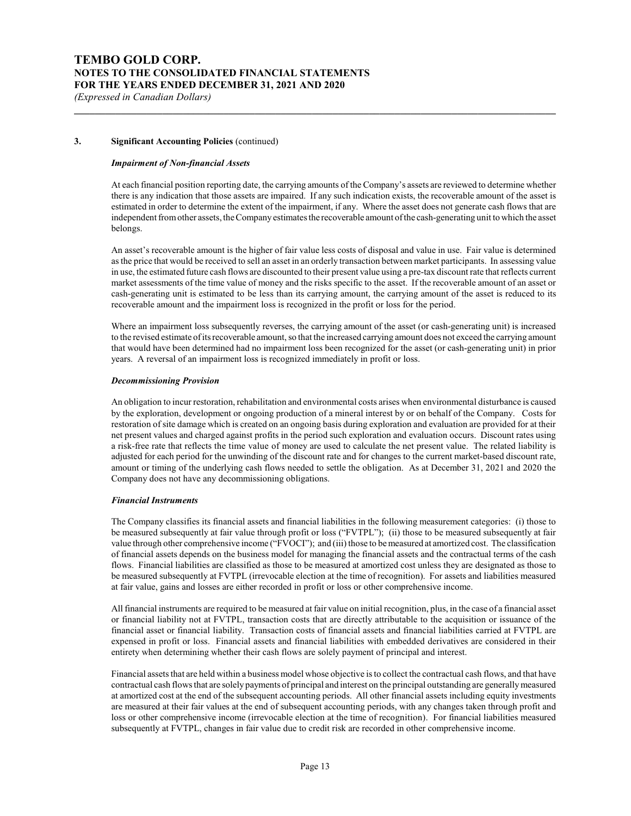#### **3. Significant Accounting Policies** (continued)

#### *Impairment of Non-financial Assets*

At each financial position reporting date, the carrying amounts of the Company's assets are reviewed to determine whether there is any indication that those assets are impaired. If any such indication exists, the recoverable amount of the asset is estimated in order to determine the extent of the impairment, if any. Where the asset does not generate cash flows that are independent fromother assets, theCompany estimates the recoverable amount ofthe cash-generating unit to which the asset belongs.

**\_\_\_\_\_\_\_\_\_\_\_\_\_\_\_\_\_\_\_\_\_\_\_\_\_\_\_\_\_\_\_\_\_\_\_\_\_\_\_\_\_\_\_\_\_\_\_\_\_\_\_\_\_\_\_\_\_\_\_\_\_\_\_\_\_\_\_\_\_\_\_\_\_\_\_\_\_\_\_\_\_\_\_\_\_\_\_\_\_\_\_\_\_**

An asset's recoverable amount is the higher of fair value less costs of disposal and value in use. Fair value is determined as the price that would be received to sell an asset in an orderly transaction between market participants. In assessing value in use, the estimated future cash flows are discounted to their present value using a pre-tax discount rate that reflects current market assessments of the time value of money and the risks specific to the asset. If the recoverable amount of an asset or cash-generating unit is estimated to be less than its carrying amount, the carrying amount of the asset is reduced to its recoverable amount and the impairment loss is recognized in the profit or loss for the period.

Where an impairment loss subsequently reverses, the carrying amount of the asset (or cash-generating unit) is increased to the revised estimate ofits recoverable amount, so that the increased carrying amount does not exceed the carrying amount that would have been determined had no impairment loss been recognized for the asset (or cash-generating unit) in prior years. A reversal of an impairment loss is recognized immediately in profit or loss.

#### *Decommissioning Provision*

An obligation to incur restoration, rehabilitation and environmental costs arises when environmental disturbance is caused by the exploration, development or ongoing production of a mineral interest by or on behalf of the Company. Costs for restoration ofsite damage which is created on an ongoing basis during exploration and evaluation are provided for at their net present values and charged against profits in the period such exploration and evaluation occurs. Discount rates using a risk-free rate that reflects the time value of money are used to calculate the net present value. The related liability is adjusted for each period for the unwinding of the discount rate and for changes to the current market-based discount rate, amount or timing of the underlying cash flows needed to settle the obligation. As at December 31, 2021 and 2020 the Company does not have any decommissioning obligations.

#### *Financial Instruments*

The Company classifies its financial assets and financial liabilities in the following measurement categories: (i) those to be measured subsequently at fair value through profit or loss ("FVTPL"); (ii) those to be measured subsequently at fair value through other comprehensive income ("FVOCI"); and (iii) those to be measured at amortized cost. The classification of financial assets depends on the business model for managing the financial assets and the contractual terms of the cash flows. Financial liabilities are classified as those to be measured at amortized cost unless they are designated as those to be measured subsequently at FVTPL (irrevocable election at the time of recognition). For assets and liabilities measured at fair value, gains and losses are either recorded in profit or loss or other comprehensive income.

All financial instruments are required to be measured at fair value on initial recognition, plus, in the case of a financial asset or financial liability not at FVTPL, transaction costs that are directly attributable to the acquisition or issuance of the financial asset or financial liability. Transaction costs of financial assets and financial liabilities carried at FVTPL are expensed in profit or loss. Financial assets and financial liabilities with embedded derivatives are considered in their entirety when determining whether their cash flows are solely payment of principal and interest.

Financial assets that are held within a business model whose objective is to collect the contractual cash flows, and that have contractual cash flows that are solely payments of principal and interest on the principal outstanding are generallymeasured at amortized cost at the end of the subsequent accounting periods. All other financial assets including equity investments are measured at their fair values at the end of subsequent accounting periods, with any changes taken through profit and loss or other comprehensive income (irrevocable election at the time of recognition). For financial liabilities measured subsequently at FVTPL, changes in fair value due to credit risk are recorded in other comprehensive income.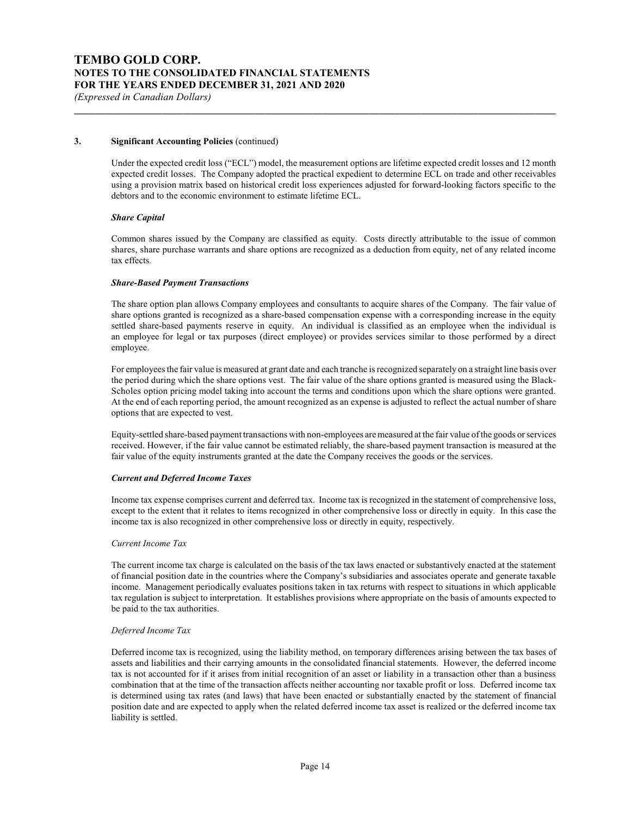#### **3. Significant Accounting Policies** (continued)

Under the expected credit loss ("ECL") model, the measurement options are lifetime expected credit losses and 12 month expected credit losses. The Company adopted the practical expedient to determine ECL on trade and other receivables using a provision matrix based on historical credit loss experiences adjusted for forward-looking factors specific to the debtors and to the economic environment to estimate lifetime ECL.

**\_\_\_\_\_\_\_\_\_\_\_\_\_\_\_\_\_\_\_\_\_\_\_\_\_\_\_\_\_\_\_\_\_\_\_\_\_\_\_\_\_\_\_\_\_\_\_\_\_\_\_\_\_\_\_\_\_\_\_\_\_\_\_\_\_\_\_\_\_\_\_\_\_\_\_\_\_\_\_\_\_\_\_\_\_\_\_\_\_\_\_\_\_**

#### *Share Capital*

Common shares issued by the Company are classified as equity. Costs directly attributable to the issue of common shares, share purchase warrants and share options are recognized as a deduction from equity, net of any related income tax effects.

#### *Share-Based Payment Transactions*

The share option plan allows Company employees and consultants to acquire shares of the Company. The fair value of share options granted is recognized as a share-based compensation expense with a corresponding increase in the equity settled share-based payments reserve in equity. An individual is classified as an employee when the individual is an employee for legal or tax purposes (direct employee) or provides services similar to those performed by a direct employee.

For employees the fair value is measured at grant date and each tranche is recognized separately on a straight line basis over the period during which the share options vest. The fair value of the share options granted is measured using the Black-Scholes option pricing model taking into account the terms and conditions upon which the share options were granted. At the end of each reporting period, the amount recognized as an expense is adjusted to reflect the actual number of share options that are expected to vest.

Equity-settled share-based payment transactions with non-employees are measured at the fair value ofthe goods or services received. However, if the fair value cannot be estimated reliably, the share-based payment transaction is measured at the fair value of the equity instruments granted at the date the Company receives the goods or the services.

#### *Current and Deferred Income Taxes*

Income tax expense comprises current and deferred tax. Income tax is recognized in the statement of comprehensive loss, except to the extent that it relates to items recognized in other comprehensive loss or directly in equity. In this case the income tax is also recognized in other comprehensive loss or directly in equity, respectively.

#### *Current Income Tax*

The current income tax charge is calculated on the basis of the tax laws enacted or substantively enacted at the statement of financial position date in the countries where the Company's subsidiaries and associates operate and generate taxable income. Management periodically evaluates positions taken in tax returns with respect to situations in which applicable tax regulation is subject to interpretation. It establishes provisions where appropriate on the basis of amounts expected to be paid to the tax authorities.

#### *Deferred Income Tax*

Deferred income tax is recognized, using the liability method, on temporary differences arising between the tax bases of assets and liabilities and their carrying amounts in the consolidated financial statements. However, the deferred income tax is not accounted for if it arises from initial recognition of an asset or liability in a transaction other than a business combination that at the time of the transaction affects neither accounting nor taxable profit or loss. Deferred income tax is determined using tax rates (and laws) that have been enacted or substantially enacted by the statement of financial position date and are expected to apply when the related deferred income tax asset is realized or the deferred income tax liability is settled.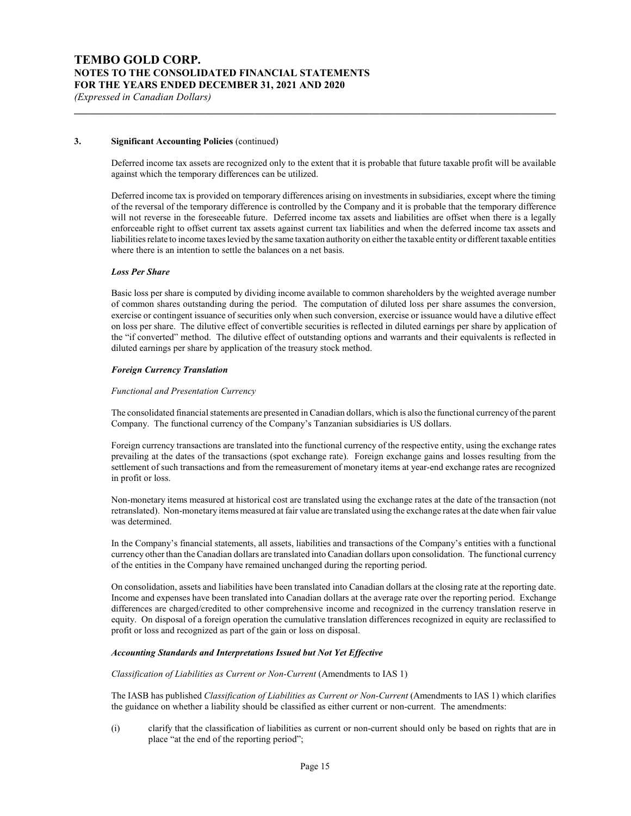#### **3. Significant Accounting Policies** (continued)

Deferred income tax assets are recognized only to the extent that it is probable that future taxable profit will be available against which the temporary differences can be utilized.

**\_\_\_\_\_\_\_\_\_\_\_\_\_\_\_\_\_\_\_\_\_\_\_\_\_\_\_\_\_\_\_\_\_\_\_\_\_\_\_\_\_\_\_\_\_\_\_\_\_\_\_\_\_\_\_\_\_\_\_\_\_\_\_\_\_\_\_\_\_\_\_\_\_\_\_\_\_\_\_\_\_\_\_\_\_\_\_\_\_\_\_\_\_**

Deferred income tax is provided on temporary differences arising on investments in subsidiaries, except where the timing of the reversal of the temporary difference is controlled by the Company and it is probable that the temporary difference will not reverse in the foreseeable future. Deferred income tax assets and liabilities are offset when there is a legally enforceable right to offset current tax assets against current tax liabilities and when the deferred income tax assets and liabilities relate to income taxes levied by the same taxation authority on either the taxable entity or different taxable entities where there is an intention to settle the balances on a net basis.

#### *Loss Per Share*

Basic loss per share is computed by dividing income available to common shareholders by the weighted average number of common shares outstanding during the period. The computation of diluted loss per share assumes the conversion, exercise or contingent issuance of securities only when such conversion, exercise or issuance would have a dilutive effect on loss per share. The dilutive effect of convertible securities is reflected in diluted earnings per share by application of the "if converted" method. The dilutive effect of outstanding options and warrants and their equivalents is reflected in diluted earnings per share by application of the treasury stock method.

#### *Foreign Currency Translation*

#### *Functional and Presentation Currency*

The consolidated financial statements are presented in Canadian dollars, which is also the functional currency ofthe parent Company. The functional currency of the Company's Tanzanian subsidiaries is US dollars.

Foreign currency transactions are translated into the functional currency of the respective entity, using the exchange rates prevailing at the dates of the transactions (spot exchange rate). Foreign exchange gains and losses resulting from the settlement of such transactions and from the remeasurement of monetary items at year-end exchange rates are recognized in profit or loss.

Non-monetary items measured at historical cost are translated using the exchange rates at the date of the transaction (not retranslated). Non-monetary items measured at fair value are translated using the exchange rates at the date when fair value was determined.

In the Company's financial statements, all assets, liabilities and transactions of the Company's entities with a functional currency other than the Canadian dollars are translated into Canadian dollars upon consolidation. The functional currency of the entities in the Company have remained unchanged during the reporting period.

On consolidation, assets and liabilities have been translated into Canadian dollars at the closing rate at the reporting date. Income and expenses have been translated into Canadian dollars at the average rate over the reporting period. Exchange differences are charged/credited to other comprehensive income and recognized in the currency translation reserve in equity. On disposal of a foreign operation the cumulative translation differences recognized in equity are reclassified to profit or loss and recognized as part of the gain or loss on disposal.

#### *Accounting Standards and Interpretations Issued but Not Yet Effective*

*Classification of Liabilities as Current or Non-Current* (Amendments to IAS 1)

The IASB has published *Classification of Liabilities as Current or Non-Current* (Amendments to IAS 1) which clarifies the guidance on whether a liability should be classified as either current or non-current. The amendments:

(i) clarify that the classification of liabilities as current or non-current should only be based on rights that are in place "at the end of the reporting period";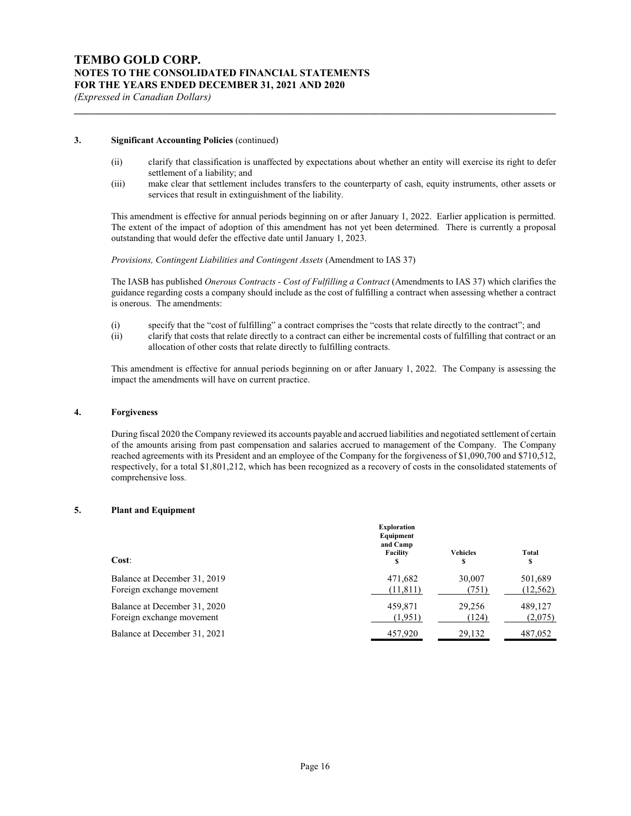#### **3. Significant Accounting Policies** (continued)

(ii) clarify that classification is unaffected by expectations about whether an entity will exercise its right to defer settlement of a liability; and

**\_\_\_\_\_\_\_\_\_\_\_\_\_\_\_\_\_\_\_\_\_\_\_\_\_\_\_\_\_\_\_\_\_\_\_\_\_\_\_\_\_\_\_\_\_\_\_\_\_\_\_\_\_\_\_\_\_\_\_\_\_\_\_\_\_\_\_\_\_\_\_\_\_\_\_\_\_\_\_\_\_\_\_\_\_\_\_\_\_\_\_\_\_**

(iii) make clear that settlement includes transfers to the counterparty of cash, equity instruments, other assets or services that result in extinguishment of the liability.

This amendment is effective for annual periods beginning on or after January 1, 2022. Earlier application is permitted. The extent of the impact of adoption of this amendment has not yet been determined. There is currently a proposal outstanding that would defer the effective date until January 1, 2023.

*Provisions, Contingent Liabilities and Contingent Assets* (Amendment to IAS 37)

The IASB has published *Onerous Contracts - Cost of Fulfilling a Contract* (Amendments to IAS 37) which clarifies the guidance regarding costs a company should include as the cost of fulfilling a contract when assessing whether a contract is onerous. The amendments:

- (i) specify that the "cost of fulfilling" a contract comprises the "costs that relate directly to the contract"; and
- (ii) clarify that costs that relate directly to a contract can either be incremental costs of fulfilling that contract or an allocation of other costs that relate directly to fulfilling contracts.

This amendment is effective for annual periods beginning on or after January 1, 2022. The Company is assessing the impact the amendments will have on current practice.

#### **4. Forgiveness**

During fiscal 2020 the Company reviewed its accounts payable and accrued liabilities and negotiated settlement of certain of the amounts arising from past compensation and salaries accrued to management of the Company. The Company reached agreements with its President and an employee of the Company for the forgiveness of \$1,090,700 and \$710,512, respectively, for a total \$1,801,212, which has been recognized as a recovery of costs in the consolidated statements of comprehensive loss.

## **5. Plant and Equipment**

| Cost:                        | <b>Exploration</b><br>Equipment<br>and Camp<br>Facility<br>S | Total<br>S |           |
|------------------------------|--------------------------------------------------------------|------------|-----------|
| Balance at December 31, 2019 | 471,682                                                      | 30,007     | 501,689   |
| Foreign exchange movement    | (11, 811)                                                    | (751)      | (12, 562) |
| Balance at December 31, 2020 | 459.871                                                      | 29.256     | 489,127   |
| Foreign exchange movement    | (1,951)                                                      | (124)      | (2,075)   |
| Balance at December 31, 2021 | 457,920                                                      | 29,132     | 487,052   |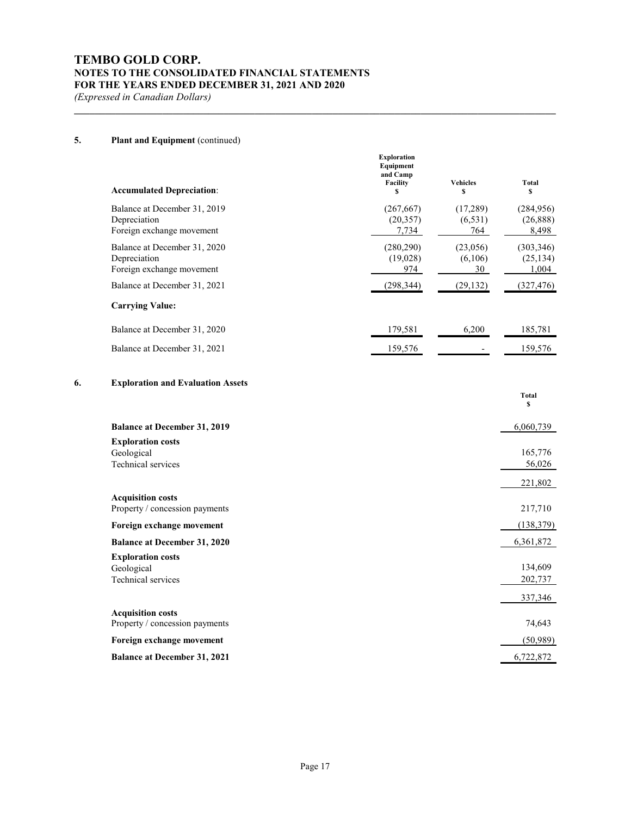# **TEMBO GOLD CORP. NOTES TO THE CONSOLIDATED FINANCIAL STATEMENTS FOR THE YEARS ENDED DECEMBER 31, 2021 AND 2020**

*(Expressed in Canadian Dollars)*

# **5. Plant and Equipment** (continued)

|    | <b>Accumulated Depreciation:</b>                                          | <b>Exploration</b><br>Equipment<br>and Camp<br><b>Facility</b><br>S | <b>Vehicles</b><br>\$       | <b>Total</b><br>\$               |
|----|---------------------------------------------------------------------------|---------------------------------------------------------------------|-----------------------------|----------------------------------|
|    | Balance at December 31, 2019<br>Depreciation<br>Foreign exchange movement | (267, 667)<br>(20, 357)<br>7,734                                    | (17,289)<br>(6, 531)<br>764 | (284, 956)<br>(26,888)<br>8,498  |
|    | Balance at December 31, 2020<br>Depreciation<br>Foreign exchange movement | (280, 290)<br>(19,028)<br>974                                       | (23,056)<br>(6,106)<br>30   | (303, 346)<br>(25, 134)<br>1,004 |
|    | Balance at December 31, 2021                                              | (298, 344)                                                          | (29, 132)                   | (327, 476)                       |
|    | <b>Carrying Value:</b>                                                    |                                                                     |                             |                                  |
|    | Balance at December 31, 2020                                              | 179,581                                                             | 6,200                       | 185,781                          |
|    | Balance at December 31, 2021                                              | 159,576                                                             |                             | 159,576                          |
| 6. | <b>Exploration and Evaluation Assets</b>                                  |                                                                     |                             | <b>Total</b><br>S                |
|    | <b>Balance at December 31, 2019</b>                                       |                                                                     |                             | 6,060,739                        |
|    | <b>Exploration costs</b><br>Geological<br><b>Technical services</b>       |                                                                     |                             | 165,776<br>56,026                |
|    | <b>Acquisition costs</b><br>Property / concession payments                |                                                                     |                             | 221,802<br>217,710               |
|    | Foreign exchange movement                                                 |                                                                     |                             | (138, 379)                       |
|    | <b>Balance at December 31, 2020</b>                                       |                                                                     |                             | 6,361,872                        |
|    | <b>Exploration costs</b><br>Geological<br><b>Technical services</b>       |                                                                     |                             | 134,609<br>202,737               |
|    |                                                                           |                                                                     |                             | 337,346                          |
|    | <b>Acquisition costs</b><br>Property / concession payments                |                                                                     |                             | 74,643                           |
|    | Foreign exchange movement                                                 |                                                                     |                             | (50, 989)                        |
|    | <b>Balance at December 31, 2021</b>                                       |                                                                     |                             | 6,722,872                        |

**\_\_\_\_\_\_\_\_\_\_\_\_\_\_\_\_\_\_\_\_\_\_\_\_\_\_\_\_\_\_\_\_\_\_\_\_\_\_\_\_\_\_\_\_\_\_\_\_\_\_\_\_\_\_\_\_\_\_\_\_\_\_\_\_\_\_\_\_\_\_\_\_\_\_\_\_\_\_\_\_\_\_\_\_\_\_\_\_\_\_\_\_\_**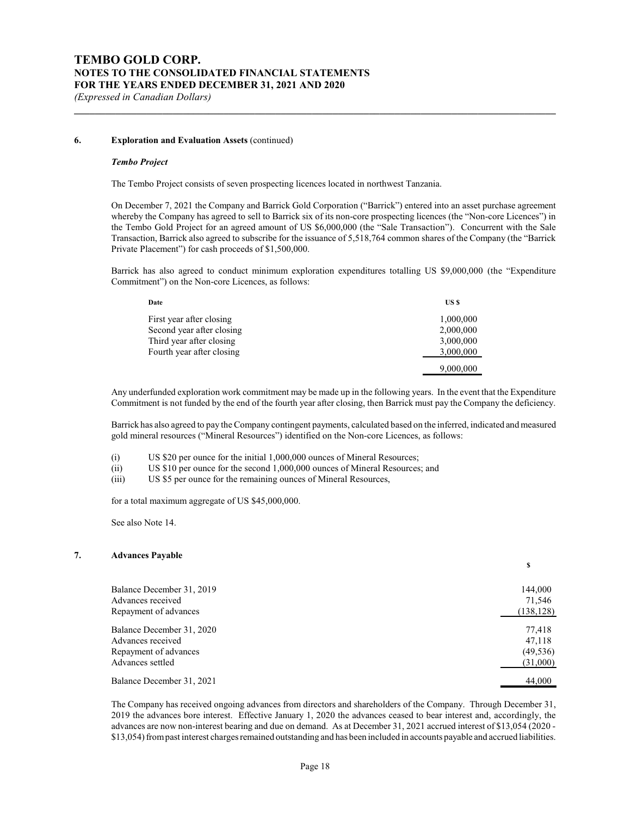#### **6. Exploration and Evaluation Assets** (continued)

#### *Tembo Project*

The Tembo Project consists of seven prospecting licences located in northwest Tanzania.

On December 7, 2021 the Company and Barrick Gold Corporation ("Barrick") entered into an asset purchase agreement whereby the Company has agreed to sell to Barrick six of its non-core prospecting licences (the "Non-core Licences") in the Tembo Gold Project for an agreed amount of US \$6,000,000 (the "Sale Transaction"). Concurrent with the Sale Transaction, Barrick also agreed to subscribe for the issuance of 5,518,764 common shares of the Company (the "Barrick Private Placement") for cash proceeds of \$1,500,000.

**\_\_\_\_\_\_\_\_\_\_\_\_\_\_\_\_\_\_\_\_\_\_\_\_\_\_\_\_\_\_\_\_\_\_\_\_\_\_\_\_\_\_\_\_\_\_\_\_\_\_\_\_\_\_\_\_\_\_\_\_\_\_\_\_\_\_\_\_\_\_\_\_\_\_\_\_\_\_\_\_\_\_\_\_\_\_\_\_\_\_\_\_\_**

Barrick has also agreed to conduct minimum exploration expenditures totalling US \$9,000,000 (the "Expenditure Commitment") on the Non-core Licences, as follows:

| Date                      | US \$     |
|---------------------------|-----------|
| First year after closing  | 1,000,000 |
| Second year after closing | 2,000,000 |
| Third year after closing  | 3,000,000 |
| Fourth year after closing | 3,000,000 |
|                           | 9,000,000 |

Any underfunded exploration work commitment may be made up in the following years. In the event that the Expenditure Commitment is not funded by the end of the fourth year after closing, then Barrick must pay the Company the deficiency.

Barrick has also agreed to pay the Company contingent payments, calculated based on the inferred, indicated and measured gold mineral resources ("Mineral Resources") identified on the Non-core Licences, as follows:

- (i) US \$20 per ounce for the initial 1,000,000 ounces of Mineral Resources;
- (ii) US \$10 per ounce for the second 1,000,000 ounces of Mineral Resources; and
- (iii) US \$5 per ounce for the remaining ounces of Mineral Resources,

for a total maximum aggregate of US \$45,000,000.

See also Note 14.

#### **7. Advances Payable**

|                           | S          |
|---------------------------|------------|
| Balance December 31, 2019 | 144,000    |
| Advances received         | 71,546     |
| Repayment of advances     | (138, 128) |
| Balance December 31, 2020 | 77,418     |
| Advances received         | 47,118     |
| Repayment of advances     | (49, 536)  |
| Advances settled          | (31,000)   |
| Balance December 31, 2021 | 44,000     |

The Company has received ongoing advances from directors and shareholders of the Company. Through December 31, 2019 the advances bore interest. Effective January 1, 2020 the advances ceased to bear interest and, accordingly, the advances are now non-interest bearing and due on demand. As at December 31, 2021 accrued interest of \$13,054 (2020 - \$13,054) frompast interest charges remained outstanding and has been included in accounts payable and accrued liabilities.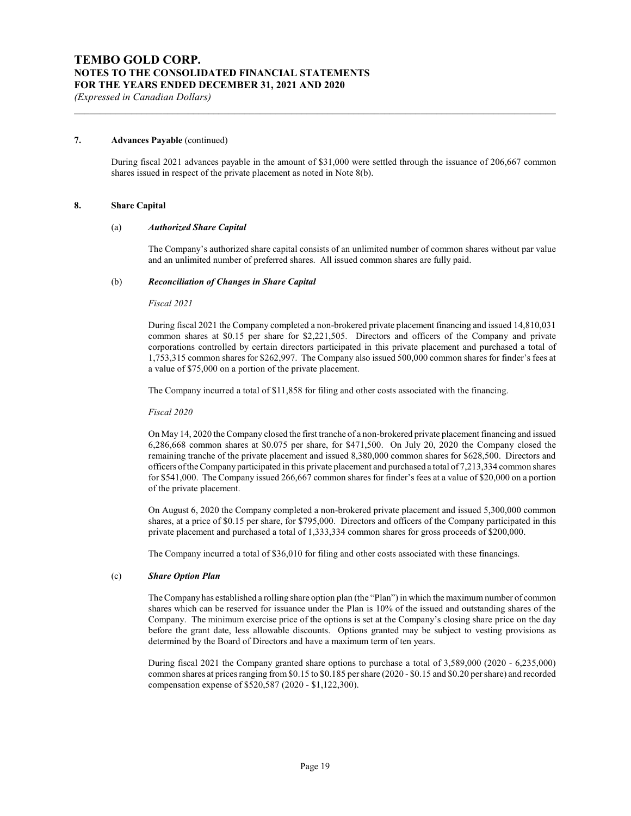#### **7. Advances Payable** (continued)

During fiscal 2021 advances payable in the amount of \$31,000 were settled through the issuance of 206,667 common shares issued in respect of the private placement as noted in Note 8(b).

**\_\_\_\_\_\_\_\_\_\_\_\_\_\_\_\_\_\_\_\_\_\_\_\_\_\_\_\_\_\_\_\_\_\_\_\_\_\_\_\_\_\_\_\_\_\_\_\_\_\_\_\_\_\_\_\_\_\_\_\_\_\_\_\_\_\_\_\_\_\_\_\_\_\_\_\_\_\_\_\_\_\_\_\_\_\_\_\_\_\_\_\_\_**

#### **8. Share Capital**

#### (a) *Authorized Share Capital*

The Company's authorized share capital consists of an unlimited number of common shares without par value and an unlimited number of preferred shares. All issued common shares are fully paid.

#### (b) *Reconciliation of Changes in Share Capital*

#### *Fiscal 2021*

During fiscal 2021 the Company completed a non-brokered private placement financing and issued 14,810,031 common shares at \$0.15 per share for \$2,221,505. Directors and officers of the Company and private corporations controlled by certain directors participated in this private placement and purchased a total of 1,753,315 common shares for \$262,997. The Company also issued 500,000 common shares for finder's fees at a value of \$75,000 on a portion of the private placement.

The Company incurred a total of \$11,858 for filing and other costs associated with the financing.

#### *Fiscal 2020*

On May 14, 2020 the Company closed the first tranche of a non-brokered private placement financing and issued 6,286,668 common shares at \$0.075 per share, for \$471,500. On July 20, 2020 the Company closed the remaining tranche of the private placement and issued 8,380,000 common shares for \$628,500. Directors and officers ofthe Company participated in this private placement and purchased a total of 7,213,334 common shares for \$541,000. The Company issued 266,667 common shares for finder's fees at a value of \$20,000 on a portion of the private placement.

On August 6, 2020 the Company completed a non-brokered private placement and issued 5,300,000 common shares, at a price of \$0.15 per share, for \$795,000. Directors and officers of the Company participated in this private placement and purchased a total of 1,333,334 common shares for gross proceeds of \$200,000.

The Company incurred a total of \$36,010 for filing and other costs associated with these financings.

#### (c) *Share Option Plan*

TheCompany has established a rolling share option plan (the "Plan") in which the maximumnumber of common shares which can be reserved for issuance under the Plan is 10% of the issued and outstanding shares of the Company. The minimum exercise price of the options is set at the Company's closing share price on the day before the grant date, less allowable discounts. Options granted may be subject to vesting provisions as determined by the Board of Directors and have a maximum term of ten years.

During fiscal 2021 the Company granted share options to purchase a total of 3,589,000 (2020 - 6,235,000) common shares at prices ranging from\$0.15 to \$0.185 per share (2020 - \$0.15 and \$0.20 per share) and recorded compensation expense of \$520,587 (2020 - \$1,122,300).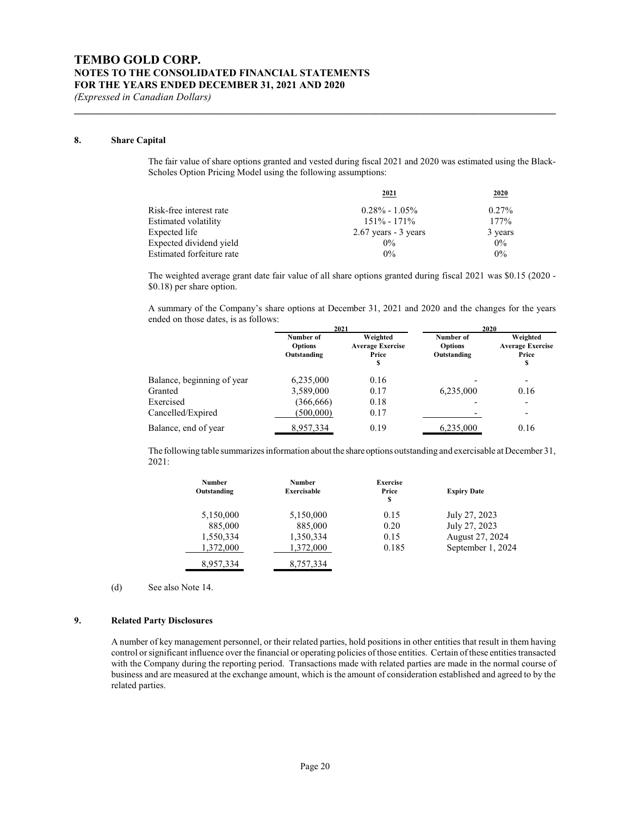#### **8. Share Capital**

The fair value of share options granted and vested during fiscal 2021 and 2020 was estimated using the Black-Scholes Option Pricing Model using the following assumptions:

|                           | 2021                   | 2020     |  |
|---------------------------|------------------------|----------|--|
| Risk-free interest rate   | $0.28\% - 1.05\%$      | $0.27\%$ |  |
| Estimated volatility      | $151\% - 171\%$        | 177%     |  |
| Expected life             | $2.67$ years - 3 years | 3 years  |  |
| Expected dividend yield   | $0\%$                  | $0\%$    |  |
| Estimated forfeiture rate | $0\%$                  | $0\%$    |  |

**\_\_\_\_\_\_\_\_\_\_\_\_\_\_\_\_\_\_\_\_\_\_\_\_\_\_\_\_\_\_\_\_\_\_\_\_\_\_\_\_\_\_\_\_\_\_\_\_\_\_\_\_\_\_\_\_\_\_\_\_\_\_\_\_\_\_\_\_\_\_\_\_\_\_\_\_\_\_\_\_\_\_\_\_\_\_\_\_\_\_\_\_\_**

The weighted average grant date fair value of all share options granted during fiscal 2021 was \$0.15 (2020 - \$0.18) per share option.

A summary of the Company's share options at December 31, 2021 and 2020 and the changes for the years ended on those dates, is as follows:

|                            | 2021                                       |                                                    | 2020                                       |                                                    |  |
|----------------------------|--------------------------------------------|----------------------------------------------------|--------------------------------------------|----------------------------------------------------|--|
|                            | Number of<br><b>Options</b><br>Outstanding | Weighted<br><b>Average Exercise</b><br>Price<br>\$ | Number of<br><b>Options</b><br>Outstanding | Weighted<br><b>Average Exercise</b><br>Price<br>\$ |  |
| Balance, beginning of year | 6,235,000                                  | 0.16                                               |                                            | $\overline{\phantom{a}}$                           |  |
| Granted                    | 3,589,000                                  | 0.17                                               | 6,235,000                                  | 0.16                                               |  |
| Exercised                  | (366, 666)                                 | 0.18                                               |                                            | $\overline{\phantom{a}}$                           |  |
| Cancelled/Expired          | (500,000)                                  | 0.17                                               |                                            | $\overline{\phantom{a}}$                           |  |
| Balance, end of year       | 8,957,334                                  | 0.19                                               | 6,235,000                                  | 0.16                                               |  |

The following table summarizes information about the share options outstanding and exercisable at December 31, 2021:

| <b>Number</b><br>Outstanding | <b>Number</b><br><b>Exercisable</b> | <b>Exercise</b><br>Price<br>S | <b>Expiry Date</b> |
|------------------------------|-------------------------------------|-------------------------------|--------------------|
| 5,150,000                    | 5,150,000                           | 0.15                          | July 27, 2023      |
| 885,000                      | 885,000                             | 0.20                          | July 27, 2023      |
| 1,550,334                    | 1,350,334                           | 0.15                          | August 27, 2024    |
| 1,372,000                    | 1,372,000                           | 0.185                         | September 1, 2024  |
| 8,957,334                    | 8,757,334                           |                               |                    |

(d) See also Note 14.

#### **9. Related Party Disclosures**

A number of key management personnel, or their related parties, hold positions in other entities that result in them having control orsignificant influence over the financial or operating policies of those entities. Certain ofthese entities transacted with the Company during the reporting period. Transactions made with related parties are made in the normal course of business and are measured at the exchange amount, which is the amount of consideration established and agreed to by the related parties.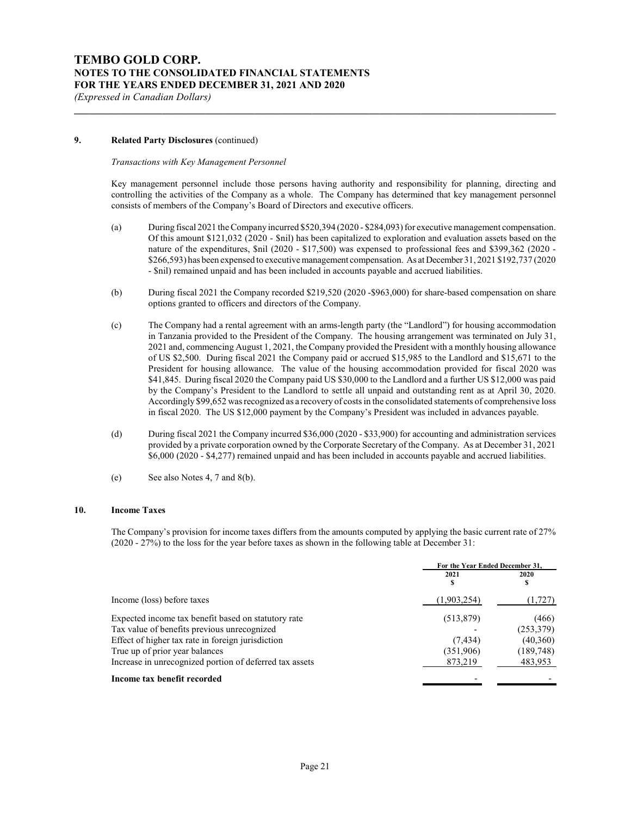### **9. Related Party Disclosures** (continued)

#### *Transactions with Key Management Personnel*

Key management personnel include those persons having authority and responsibility for planning, directing and controlling the activities of the Company as a whole. The Company has determined that key management personnel consists of members of the Company's Board of Directors and executive officers.

**\_\_\_\_\_\_\_\_\_\_\_\_\_\_\_\_\_\_\_\_\_\_\_\_\_\_\_\_\_\_\_\_\_\_\_\_\_\_\_\_\_\_\_\_\_\_\_\_\_\_\_\_\_\_\_\_\_\_\_\_\_\_\_\_\_\_\_\_\_\_\_\_\_\_\_\_\_\_\_\_\_\_\_\_\_\_\_\_\_\_\_\_\_**

- (a) During fiscal 2021 the Company incurred \$520,394 (2020 \$284,093) for executive management compensation. Of this amount \$121,032 (2020 - \$nil) has been capitalized to exploration and evaluation assets based on the nature of the expenditures, \$nil (2020 - \$17,500) was expensed to professional fees and \$399,362 (2020 - \$266,593) has been expensed to executive management compensation. As at December 31, 2021 \$192,737 (2020 - \$nil) remained unpaid and has been included in accounts payable and accrued liabilities.
- (b) During fiscal 2021 the Company recorded \$219,520 (2020 -\$963,000) for share-based compensation on share options granted to officers and directors of the Company.
- (c) The Company had a rental agreement with an arms-length party (the "Landlord") for housing accommodation in Tanzania provided to the President of the Company. The housing arrangement was terminated on July 31, 2021 and, commencing August 1, 2021, the Company provided the President with a monthly housing allowance of US \$2,500. During fiscal 2021 the Company paid or accrued \$15,985 to the Landlord and \$15,671 to the President for housing allowance. The value of the housing accommodation provided for fiscal 2020 was \$41,845. During fiscal 2020 the Company paid US \$30,000 to the Landlord and a further US \$12,000 was paid by the Company's President to the Landlord to settle all unpaid and outstanding rent as at April 30, 2020. Accordingly \$99,652 was recognized as a recovery of costs in the consolidated statements of comprehensive loss in fiscal 2020. The US \$12,000 payment by the Company's President was included in advances payable.
- (d) During fiscal 2021 the Company incurred \$36,000 (2020 \$33,900) for accounting and administration services provided by a private corporation owned by the Corporate Secretary of the Company. As at December 31, 2021 \$6,000 (2020 - \$4,277) remained unpaid and has been included in accounts payable and accrued liabilities.
- (e) See also Notes 4, 7 and 8(b).

## **10. Income Taxes**

The Company's provision for income taxes differs from the amounts computed by applying the basic current rate of 27% (2020 - 27%) to the loss for the year before taxes as shown in the following table at December 31:

|                                                         | For the Year Ended December 31. |            |
|---------------------------------------------------------|---------------------------------|------------|
|                                                         | 2021<br>S                       | 2020<br>\$ |
| Income (loss) before taxes                              | (1,903,254)                     | (1, 727)   |
| Expected income tax benefit based on statutory rate     | (513, 879)                      | (466)      |
| Tax value of benefits previous unrecognized             |                                 | (253, 379) |
| Effect of higher tax rate in foreign jurisdiction       | (7, 434)                        | (40,360)   |
| True up of prior year balances                          | (351,906)                       | (189, 748) |
| Increase in unrecognized portion of deferred tax assets | 873,219                         | 483,953    |
| Income tax benefit recorded                             |                                 |            |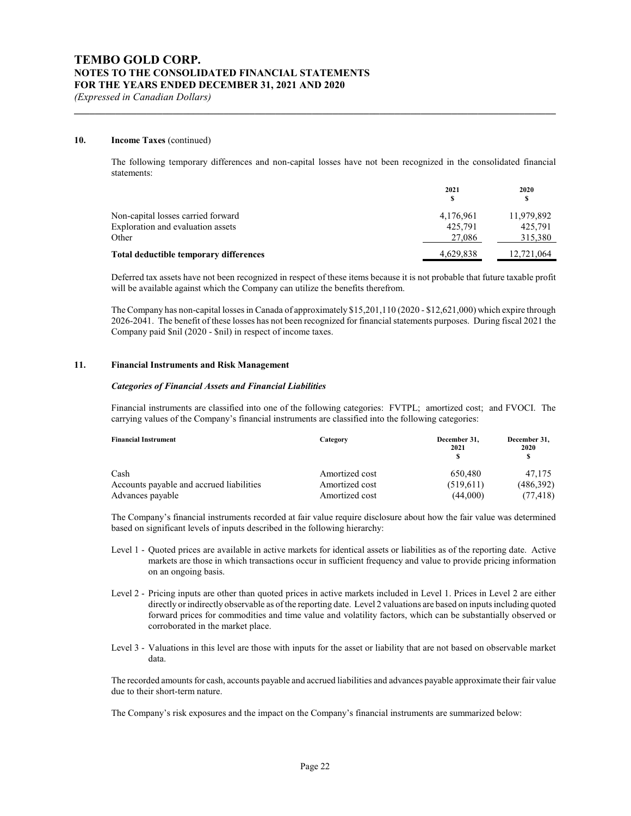#### **10. Income Taxes** (continued)

The following temporary differences and non-capital losses have not been recognized in the consolidated financial statements:

**\_\_\_\_\_\_\_\_\_\_\_\_\_\_\_\_\_\_\_\_\_\_\_\_\_\_\_\_\_\_\_\_\_\_\_\_\_\_\_\_\_\_\_\_\_\_\_\_\_\_\_\_\_\_\_\_\_\_\_\_\_\_\_\_\_\_\_\_\_\_\_\_\_\_\_\_\_\_\_\_\_\_\_\_\_\_\_\_\_\_\_\_\_**

|                                        | 2021      | 2020<br>S  |
|----------------------------------------|-----------|------------|
| Non-capital losses carried forward     | 4,176,961 | 11,979,892 |
| Exploration and evaluation assets      | 425.791   | 425.791    |
| Other                                  | 27.086    | 315,380    |
| Total deductible temporary differences | 4.629.838 | 12.721.064 |

Deferred tax assets have not been recognized in respect of these items because it is not probable that future taxable profit will be available against which the Company can utilize the benefits therefrom.

The Company has non-capital losses in Canada of approximately \$15,201,110 (2020 - \$12,621,000) which expire through 2026-2041. The benefit of these losses has not been recognized for financial statements purposes. During fiscal 2021 the Company paid \$nil (2020 - \$nil) in respect of income taxes.

#### **11. Financial Instruments and Risk Management**

#### *Categories of Financial Assets and Financial Liabilities*

Financial instruments are classified into one of the following categories: FVTPL; amortized cost; and FVOCI. The carrying values of the Company's financial instruments are classified into the following categories:

| <b>Financial Instrument</b>              | Category       | December 31,<br>2021 | December 31.<br>2020 |
|------------------------------------------|----------------|----------------------|----------------------|
| Cash                                     | Amortized cost | 650,480              | 47.175               |
| Accounts payable and accrued liabilities | Amortized cost | (519.611)            | (486,392)            |
| Advances payable                         | Amortized cost | (44,000)             | (77, 418)            |

The Company's financial instruments recorded at fair value require disclosure about how the fair value was determined based on significant levels of inputs described in the following hierarchy:

- Level 1 Quoted prices are available in active markets for identical assets or liabilities as of the reporting date. Active markets are those in which transactions occur in sufficient frequency and value to provide pricing information on an ongoing basis.
- Level 2 Pricing inputs are other than quoted prices in active markets included in Level 1. Prices in Level 2 are either directly or indirectly observable as ofthe reporting date. Level 2 valuations are based on inputs including quoted forward prices for commodities and time value and volatility factors, which can be substantially observed or corroborated in the market place.
- Level 3 Valuations in this level are those with inputs for the asset or liability that are not based on observable market data.

The recorded amounts for cash, accounts payable and accrued liabilities and advances payable approximate their fair value due to their short-term nature.

The Company's risk exposures and the impact on the Company's financial instruments are summarized below: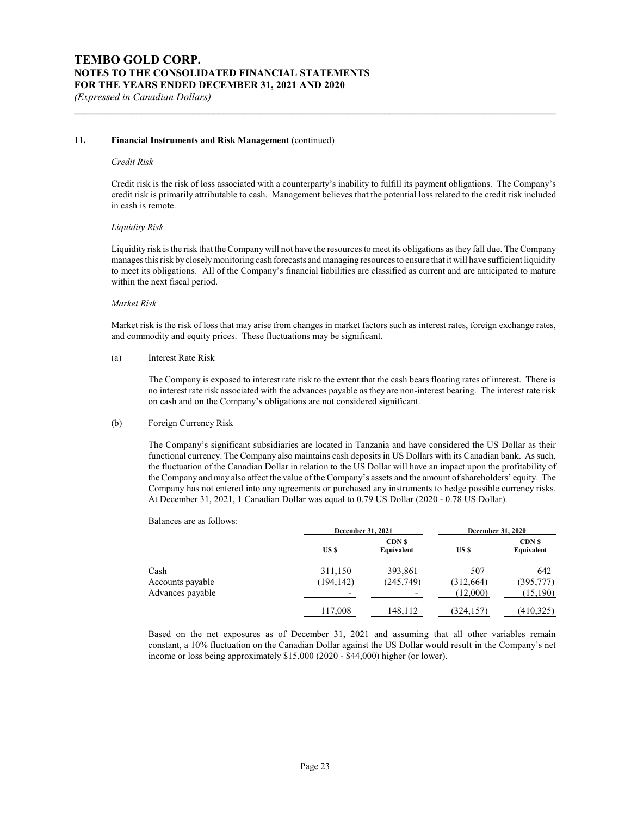#### **11. Financial Instruments and Risk Management** (continued)

#### *Credit Risk*

Credit risk is the risk of loss associated with a counterparty's inability to fulfill its payment obligations. The Company's credit risk is primarily attributable to cash. Management believes that the potential loss related to the credit risk included in cash is remote.

**\_\_\_\_\_\_\_\_\_\_\_\_\_\_\_\_\_\_\_\_\_\_\_\_\_\_\_\_\_\_\_\_\_\_\_\_\_\_\_\_\_\_\_\_\_\_\_\_\_\_\_\_\_\_\_\_\_\_\_\_\_\_\_\_\_\_\_\_\_\_\_\_\_\_\_\_\_\_\_\_\_\_\_\_\_\_\_\_\_\_\_\_\_**

#### *Liquidity Risk*

Liquidity risk is the risk that the Company will not have the resources to meet its obligations as they fall due. The Company manages this risk by closelymonitoring cash forecasts and managing resources to ensure that it will have sufficient liquidity to meet its obligations. All of the Company's financial liabilities are classified as current and are anticipated to mature within the next fiscal period.

#### *Market Risk*

Market risk is the risk of loss that may arise from changes in market factors such as interest rates, foreign exchange rates, and commodity and equity prices. These fluctuations may be significant.

#### (a) Interest Rate Risk

The Company is exposed to interest rate risk to the extent that the cash bears floating rates of interest. There is no interest rate risk associated with the advances payable as they are non-interest bearing. The interest rate risk on cash and on the Company's obligations are not considered significant.

#### (b) Foreign Currency Risk

The Company's significant subsidiaries are located in Tanzania and have considered the US Dollar as their functional currency. The Company also maintains cash deposits in US Dollars with its Canadian bank. As such, the fluctuation of the Canadian Dollar in relation to the US Dollar will have an impact upon the profitability of theCompany and may also affect the value of the Company's assets and the amount ofshareholders' equity. The Company has not entered into any agreements or purchased any instruments to hedge possible currency risks. At December 31, 2021, 1 Canadian Dollar was equal to 0.79 US Dollar (2020 - 0.78 US Dollar).

Balances are as follows:

|                  |                          | December 31, 2021              |            | December 31, 2020           |  |
|------------------|--------------------------|--------------------------------|------------|-----------------------------|--|
|                  | US <sub>\$</sub>         | CDN <sub>S</sub><br>Equivalent | US \$      | <b>CDN</b> \$<br>Equivalent |  |
| Cash             | 311,150                  | 393,861                        | 507        | 642                         |  |
| Accounts payable | (194, 142)               | (245,749)                      | (312,664)  | (395, 777)                  |  |
| Advances payable | $\overline{\phantom{0}}$ |                                | (12,000)   | (15,190)                    |  |
|                  | 117,008                  | 148,112                        | (324, 157) | (410, 325)                  |  |

Based on the net exposures as of December 31, 2021 and assuming that all other variables remain constant, a 10% fluctuation on the Canadian Dollar against the US Dollar would result in the Company's net income or loss being approximately \$15,000 (2020 - \$44,000) higher (or lower).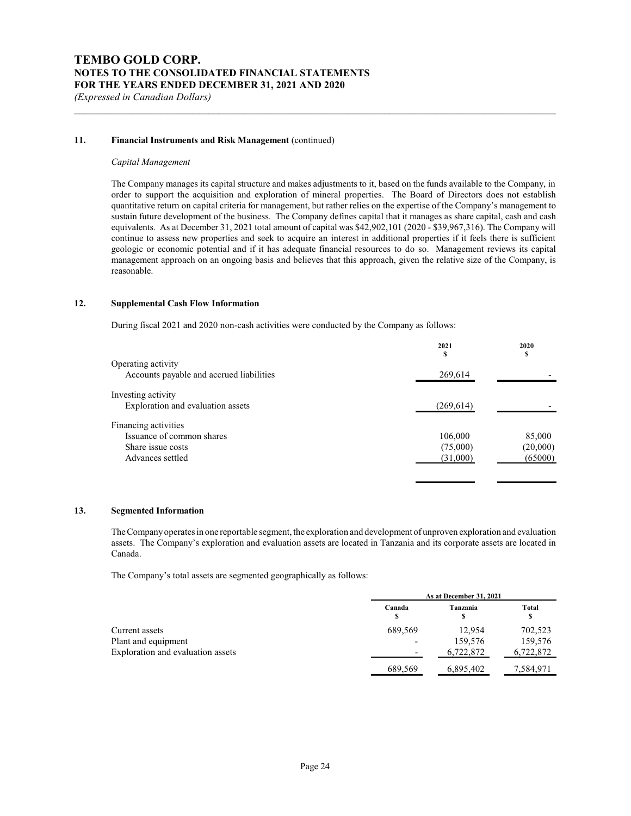#### **11. Financial Instruments and Risk Management** (continued)

#### *Capital Management*

The Company manages its capital structure and makes adjustments to it, based on the funds available to the Company, in order to support the acquisition and exploration of mineral properties. The Board of Directors does not establish quantitative return on capital criteria for management, but rather relies on the expertise of the Company's management to sustain future development of the business. The Company defines capital that it manages as share capital, cash and cash equivalents. As at December 31, 2021 total amount of capital was \$42,902,101 (2020 - \$39,967,316). The Company will continue to assess new properties and seek to acquire an interest in additional properties if it feels there is sufficient geologic or economic potential and if it has adequate financial resources to do so. Management reviews its capital management approach on an ongoing basis and believes that this approach, given the relative size of the Company, is reasonable.

**\_\_\_\_\_\_\_\_\_\_\_\_\_\_\_\_\_\_\_\_\_\_\_\_\_\_\_\_\_\_\_\_\_\_\_\_\_\_\_\_\_\_\_\_\_\_\_\_\_\_\_\_\_\_\_\_\_\_\_\_\_\_\_\_\_\_\_\_\_\_\_\_\_\_\_\_\_\_\_\_\_\_\_\_\_\_\_\_\_\_\_\_\_**

## **12. Supplemental Cash Flow Information**

During fiscal 2021 and 2020 non-cash activities were conducted by the Company as follows:

|                                          | 2021<br>\$ | 2020<br>\$ |
|------------------------------------------|------------|------------|
| Operating activity                       |            |            |
| Accounts payable and accrued liabilities | 269,614    |            |
| Investing activity                       |            |            |
| Exploration and evaluation assets        | (269, 614) |            |
| Financing activities                     |            |            |
| Issuance of common shares                | 106,000    | 85,000     |
| Share issue costs                        | (75,000)   | (20,000)   |
| Advances settled                         | (31,000)   | (65000)    |
|                                          |            |            |
|                                          |            |            |

#### **13. Segmented Information**

The Company operates in one reportable segment, the exploration and development of unproven exploration and evaluation assets. The Company's exploration and evaluation assets are located in Tanzania and its corporate assets are located in Canada.

The Company's total assets are segmented geographically as follows:

|                                   | As at December 31, 2021 |           |            |
|-----------------------------------|-------------------------|-----------|------------|
|                                   | Canada<br>S             | Tanzania  | Total<br>S |
| Current assets                    | 689,569                 | 12.954    | 702,523    |
| Plant and equipment               |                         | 159.576   | 159,576    |
| Exploration and evaluation assets |                         | 6,722,872 | 6,722,872  |
|                                   | 689.569                 | 6,895,402 | 7,584,971  |